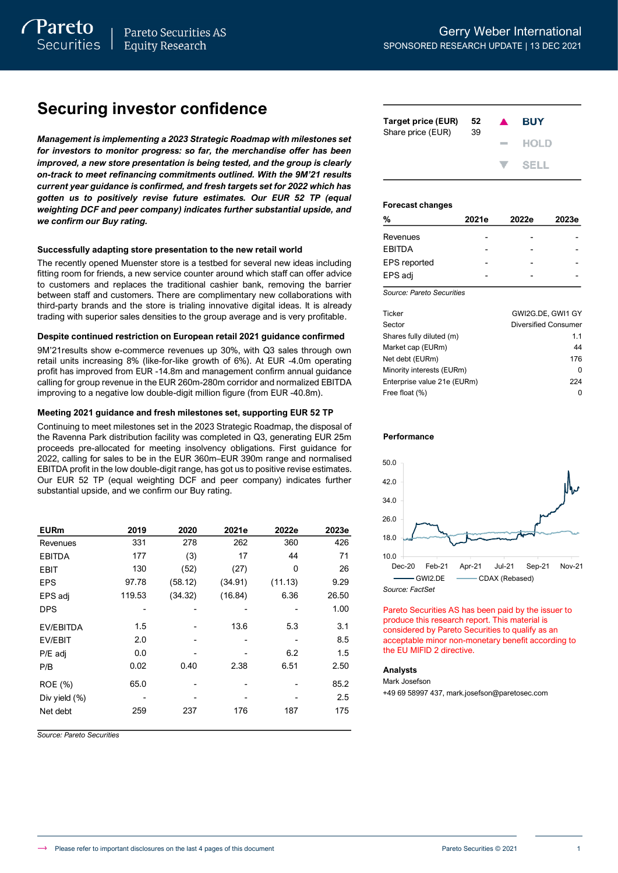# **Securing investor confidence**

*Management is implementing a 2023 Strategic Roadmap with milestones set for investors to monitor progress: so far, the merchandise offer has been improved, a new store presentation is being tested, and the group is clearly on-track to meet refinancing commitments outlined. With the 9M'21 results current year guidance is confirmed, and fresh targets set for 2022 which has gotten us to positively revise future estimates. Our EUR 52 TP (equal weighting DCF and peer company) indicates further substantial upside, and we confirm our Buy rating.*

#### **Successfully adapting store presentation to the new retail world**

The recently opened Muenster store is a testbed for several new ideas including fitting room for friends, a new service counter around which staff can offer advice to customers and replaces the traditional cashier bank, removing the barrier between staff and customers. There are complimentary new collaborations with third-party brands and the store is trialing innovative digital ideas. It is already trading with superior sales densities to the group average and is very profitable.

#### **Despite continued restriction on European retail 2021 guidance confirmed**

9M'21results show e-commerce revenues up 30%, with Q3 sales through own retail units increasing 8% (like-for-like growth of 6%). At EUR -4.0m operating profit has improved from EUR -14.8m and management confirm annual guidance calling for group revenue in the EUR 260m-280m corridor and normalized EBITDA improving to a negative low double-digit million figure (from EUR -40.8m).

#### **Meeting 2021 guidance and fresh milestones set, supporting EUR 52 TP**

Continuing to meet milestones set in the 2023 Strategic Roadmap, the disposal of the Ravenna Park distribution facility was completed in Q3, generating EUR 25m proceeds pre-allocated for meeting insolvency obligations. First guidance for 2022, calling for sales to be in the EUR 360m–EUR 390m range and normalised EBITDA profit in the low double-digit range, has got us to positive revise estimates. Our EUR 52 TP (equal weighting DCF and peer company) indicates further substantial upside, and we confirm our Buy rating.

| <b>EURm</b>      | 2019   | 2020    | 2021e   | 2022e   | 2023e |
|------------------|--------|---------|---------|---------|-------|
| Revenues         | 331    | 278     | 262     | 360     | 426   |
| <b>EBITDA</b>    | 177    | (3)     | 17      | 44      | 71    |
| <b>EBIT</b>      | 130    | (52)    | (27)    | 0       | 26    |
| <b>EPS</b>       | 97.78  | (58.12) | (34.91) | (11.13) | 9.29  |
| EPS adj          | 119.53 | (34.32) | (16.84) | 6.36    | 26.50 |
| <b>DPS</b>       |        |         |         |         | 1.00  |
| <b>EV/EBITDA</b> | 1.5    |         | 13.6    | 5.3     | 3.1   |
| EV/EBIT          | 2.0    |         |         |         | 8.5   |
| P/E adj          | 0.0    |         |         | 6.2     | 1.5   |
| P/B              | 0.02   | 0.40    | 2.38    | 6.51    | 2.50  |
| ROE (%)          | 65.0   |         |         |         | 85.2  |
| Div yield $(\%)$ |        |         |         |         | 2.5   |
| Net debt         | 259    | 237     | 176     | 187     | 175   |

*Source: Pareto Securities*

| Target price (EUR)<br>Share price (EUR) | 52<br>39 | $\blacktriangle$ | <b>BUY</b> |
|-----------------------------------------|----------|------------------|------------|
|                                         |          | <b>Contract</b>  | HOLD       |
|                                         |          |                  | V SELL     |

#### **Forecast changes**

| %                   | 2021e | 2022e | 2023e |
|---------------------|-------|-------|-------|
| Revenues            |       |       |       |
| <b>EBITDA</b>       |       |       |       |
| <b>EPS</b> reported |       |       |       |
| EPS adj             |       |       |       |
|                     |       |       |       |

*Source: Pareto Securities*

| Ticker                      | GWI2G.DE. GWI1 GY    |
|-----------------------------|----------------------|
| Sector                      | Diversified Consumer |
| Shares fully diluted (m)    | 1.1                  |
| Market cap (EURm)           | 44                   |
| Net debt (EURm)             | 176                  |
| Minority interests (EURm)   | O                    |
| Enterprise value 21e (EURm) | 224                  |
| Free float (%)              | 0                    |

#### **Performance**



Pareto Securities AS has been paid by the issuer to produce this research report. This material is considered by Pareto Securities to qualify as an acceptable minor non-monetary benefit according to the EU MIFID 2 directive.

#### **Analysts**

Mark Josefson

+49 69 58997 437, mark.josefson@paretosec.com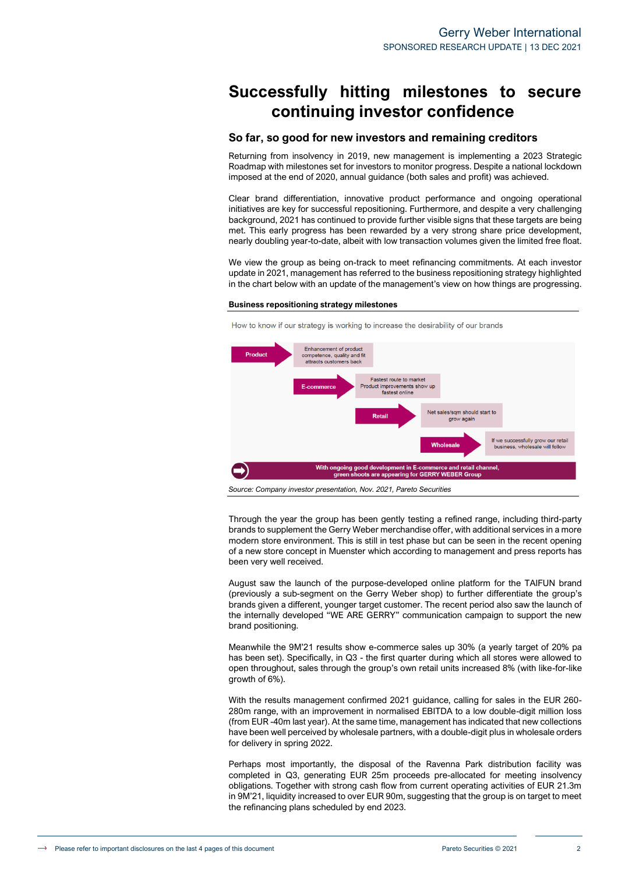# **Successfully hitting milestones to secure continuing investor confidence**

#### **So far, so good for new investors and remaining creditors**

Returning from insolvency in 2019, new management is implementing a 2023 Strategic Roadmap with milestones set for investors to monitor progress. Despite a national lockdown imposed at the end of 2020, annual guidance (both sales and profit) was achieved.

Clear brand differentiation, innovative product performance and ongoing operational initiatives are key for successful repositioning. Furthermore, and despite a very challenging background, 2021 has continued to provide further visible signs that these targets are being met. This early progress has been rewarded by a very strong share price development, nearly doubling year-to-date, albeit with low transaction volumes given the limited free float.

We view the group as being on-track to meet refinancing commitments. At each investor update in 2021, management has referred to the business repositioning strategy highlighted in the chart below with an update of the management's view on how things are progressing.

#### **Business repositioning strategy milestones**



*Source: Company investor presentation, Nov. 2021, Pareto Securities* 

Through the year the group has been gently testing a refined range, including third-party brands to supplement the Gerry Weber merchandise offer, with additional services in a more modern store environment. This is still in test phase but can be seen in the recent opening of a new store concept in Muenster which according to management and press reports has been very well received.

August saw the launch of the purpose-developed online platform for the TAIFUN brand (previously a sub-segment on the Gerry Weber shop) to further differentiate the group's brands given a different, younger target customer. The recent period also saw the launch of the internally developed "WE ARE GERRY" communication campaign to support the new brand positioning.

Meanwhile the 9M'21 results show e-commerce sales up 30% (a yearly target of 20% pa has been set). Specifically, in Q3 - the first quarter during which all stores were allowed to open throughout, sales through the group's own retail units increased 8% (with like-for-like growth of 6%).

With the results management confirmed 2021 guidance, calling for sales in the EUR 260- 280m range, with an improvement in normalised EBITDA to a low double-digit million loss (from EUR -40m last year). At the same time, management has indicated that new collections have been well perceived by wholesale partners, with a double-digit plus in wholesale orders for delivery in spring 2022.

Perhaps most importantly, the disposal of the Ravenna Park distribution facility was completed in Q3, generating EUR 25m proceeds pre-allocated for meeting insolvency obligations. Together with strong cash flow from current operating activities of EUR 21.3m in 9M'21, liquidity increased to over EUR 90m, suggesting that the group is on target to meet the refinancing plans scheduled by end 2023.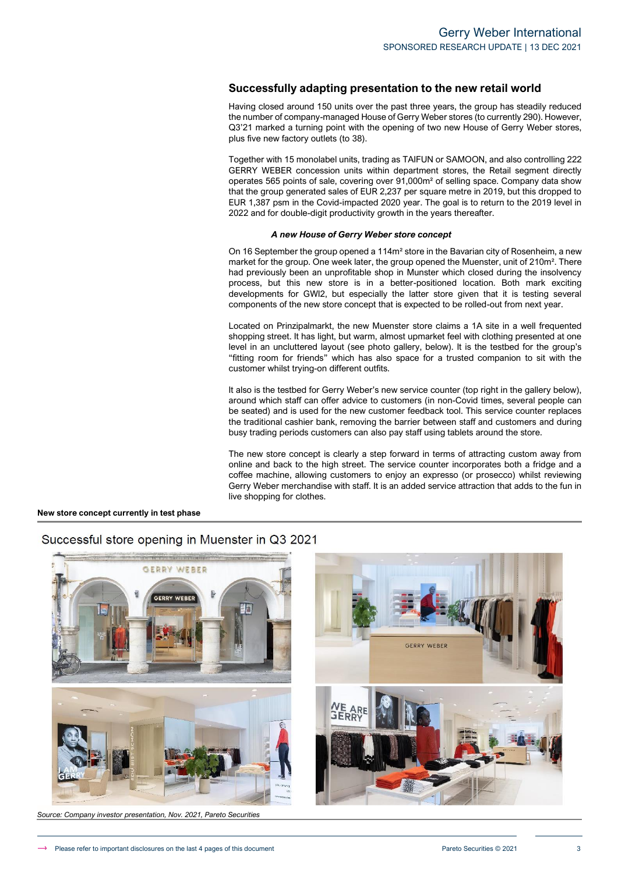#### **Successfully adapting presentation to the new retail world**

Having closed around 150 units over the past three years, the group has steadily reduced the number of company-managed House of Gerry Weber stores (to currently 290). However, Q3'21 marked a turning point with the opening of two new House of Gerry Weber stores, plus five new factory outlets (to 38).

Together with 15 monolabel units, trading as TAIFUN or SAMOON, and also controlling 222 GERRY WEBER concession units within department stores, the Retail segment directly operates 565 points of sale, covering over 91,000m² of selling space. Company data show that the group generated sales of EUR 2,237 per square metre in 2019, but this dropped to EUR 1,387 psm in the Covid-impacted 2020 year. The goal is to return to the 2019 level in 2022 and for double-digit productivity growth in the years thereafter.

#### *A new House of Gerry Weber store concept*

On 16 September the group opened a 114m² store in the Bavarian city of Rosenheim, a new market for the group. One week later, the group opened the Muenster, unit of 210m<sup>2</sup>. There had previously been an unprofitable shop in Munster which closed during the insolvency process, but this new store is in a better-positioned location. Both mark exciting developments for GWI2, but especially the latter store given that it is testing several components of the new store concept that is expected to be rolled-out from next year.

Located on Prinzipalmarkt, the new Muenster store claims a 1A site in a well frequented shopping street. It has light, but warm, almost upmarket feel with clothing presented at one level in an uncluttered layout (see photo gallery, below). It is the testbed for the group's "fitting room for friends" which has also space for a trusted companion to sit with the customer whilst trying-on different outfits.

It also is the testbed for Gerry Weber's new service counter (top right in the gallery below), around which staff can offer advice to customers (in non-Covid times, several people can be seated) and is used for the new customer feedback tool. This service counter replaces the traditional cashier bank, removing the barrier between staff and customers and during busy trading periods customers can also pay staff using tablets around the store.

The new store concept is clearly a step forward in terms of attracting custom away from online and back to the high street. The service counter incorporates both a fridge and a coffee machine, allowing customers to enjoy an expresso (or prosecco) whilst reviewing Gerry Weber merchandise with staff. It is an added service attraction that adds to the fun in live shopping for clothes.

#### **New store concept currently in test phase**

# GERRY WEBER GERRY WERER

# Successful store opening in Muenster in Q3 2021

*Source: Company investor presentation, Nov. 2021, Pareto Securities*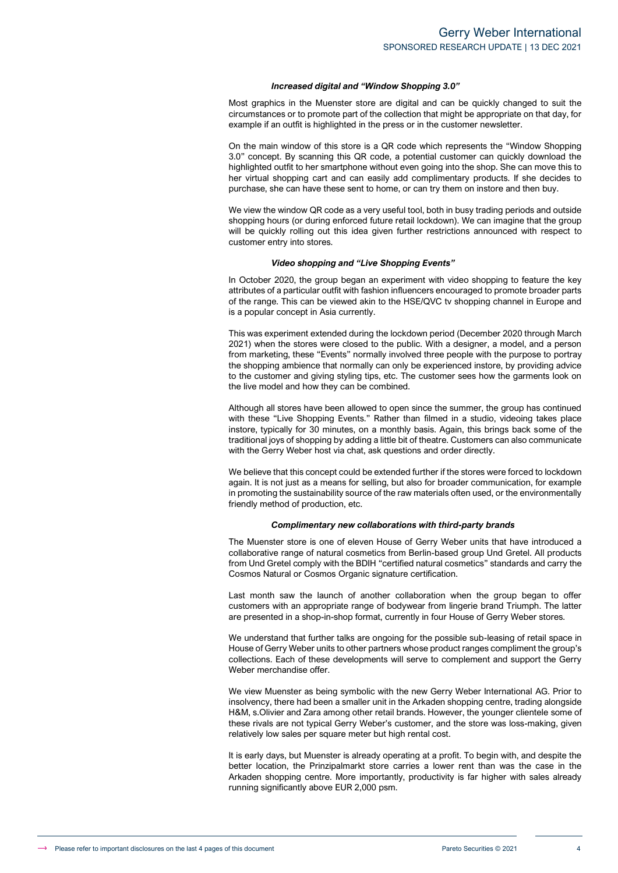#### *Increased digital and "Window Shopping 3.0"*

Most graphics in the Muenster store are digital and can be quickly changed to suit the circumstances or to promote part of the collection that might be appropriate on that day, for example if an outfit is highlighted in the press or in the customer newsletter.

On the main window of this store is a QR code which represents the "Window Shopping 3.0" concept. By scanning this QR code, a potential customer can quickly download the highlighted outfit to her smartphone without even going into the shop. She can move this to her virtual shopping cart and can easily add complimentary products. If she decides to purchase, she can have these sent to home, or can try them on instore and then buy.

We view the window QR code as a very useful tool, both in busy trading periods and outside shopping hours (or during enforced future retail lockdown). We can imagine that the group will be quickly rolling out this idea given further restrictions announced with respect to customer entry into stores.

#### *Video shopping and "Live Shopping Events"*

In October 2020, the group began an experiment with video shopping to feature the key attributes of a particular outfit with fashion influencers encouraged to promote broader parts of the range. This can be viewed akin to the HSE/QVC tv shopping channel in Europe and is a popular concept in Asia currently.

This was experiment extended during the lockdown period (December 2020 through March 2021) when the stores were closed to the public. With a designer, a model, and a person from marketing, these "Events" normally involved three people with the purpose to portray the shopping ambience that normally can only be experienced instore, by providing advice to the customer and giving styling tips, etc. The customer sees how the garments look on the live model and how they can be combined.

Although all stores have been allowed to open since the summer, the group has continued with these "Live Shopping Events." Rather than filmed in a studio, videoing takes place instore, typically for 30 minutes, on a monthly basis. Again, this brings back some of the traditional joys of shopping by adding a little bit of theatre. Customers can also communicate with the Gerry Weber host via chat, ask questions and order directly.

We believe that this concept could be extended further if the stores were forced to lockdown again. It is not just as a means for selling, but also for broader communication, for example in promoting the sustainability source of the raw materials often used, or the environmentally friendly method of production, etc.

#### *Complimentary new collaborations with third-party brands*

The Muenster store is one of eleven House of Gerry Weber units that have introduced a collaborative range of natural cosmetics from Berlin-based group Und Gretel. All products from Und Gretel comply with the BDIH "certified natural cosmetics" standards and carry the Cosmos Natural or Cosmos Organic signature certification.

Last month saw the launch of another collaboration when the group began to offer customers with an appropriate range of bodywear from lingerie brand Triumph. The latter are presented in a shop-in-shop format, currently in four House of Gerry Weber stores.

We understand that further talks are ongoing for the possible sub-leasing of retail space in House of Gerry Weber units to other partners whose product ranges compliment the group's collections. Each of these developments will serve to complement and support the Gerry Weber merchandise offer.

We view Muenster as being symbolic with the new Gerry Weber International AG. Prior to insolvency, there had been a smaller unit in the Arkaden shopping centre, trading alongside H&M, s.Olivier and Zara among other retail brands. However, the younger clientele some of these rivals are not typical Gerry Weber's customer, and the store was loss-making, given relatively low sales per square meter but high rental cost.

It is early days, but Muenster is already operating at a profit. To begin with, and despite the better location, the Prinzipalmarkt store carries a lower rent than was the case in the Arkaden shopping centre. More importantly, productivity is far higher with sales already running significantly above EUR 2,000 psm.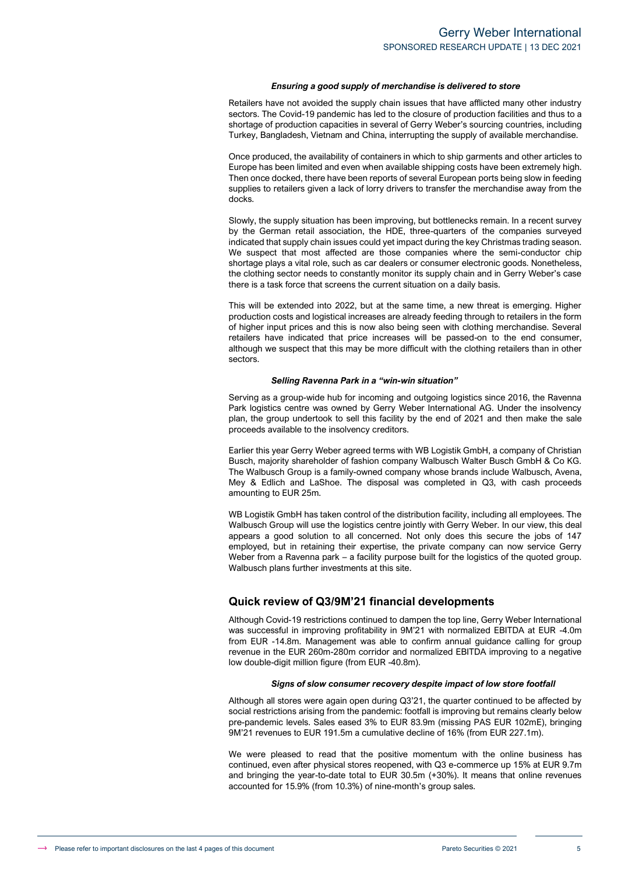#### *Ensuring a good supply of merchandise is delivered to store*

Retailers have not avoided the supply chain issues that have afflicted many other industry sectors. The Covid-19 pandemic has led to the closure of production facilities and thus to a shortage of production capacities in several of Gerry Weber's sourcing countries, including Turkey, Bangladesh, Vietnam and China, interrupting the supply of available merchandise.

Once produced, the availability of containers in which to ship garments and other articles to Europe has been limited and even when available shipping costs have been extremely high. Then once docked, there have been reports of several European ports being slow in feeding supplies to retailers given a lack of lorry drivers to transfer the merchandise away from the docks.

Slowly, the supply situation has been improving, but bottlenecks remain. In a recent survey by the German retail association, the HDE, three-quarters of the companies surveyed indicated that supply chain issues could yet impact during the key Christmas trading season. We suspect that most affected are those companies where the semi-conductor chip shortage plays a vital role, such as car dealers or consumer electronic goods. Nonetheless, the clothing sector needs to constantly monitor its supply chain and in Gerry Weber's case there is a task force that screens the current situation on a daily basis.

This will be extended into 2022, but at the same time, a new threat is emerging. Higher production costs and logistical increases are already feeding through to retailers in the form of higher input prices and this is now also being seen with clothing merchandise. Several retailers have indicated that price increases will be passed-on to the end consumer, although we suspect that this may be more difficult with the clothing retailers than in other sectors.

#### *Selling Ravenna Park in a "win-win situation"*

Serving as a group-wide hub for incoming and outgoing logistics since 2016, the Ravenna Park logistics centre was owned by Gerry Weber International AG. Under the insolvency plan, the group undertook to sell this facility by the end of 2021 and then make the sale proceeds available to the insolvency creditors.

Earlier this year Gerry Weber agreed terms with WB Logistik GmbH, a company of Christian Busch, majority shareholder of fashion company Walbusch Walter Busch GmbH & Co KG. The Walbusch Group is a family-owned company whose brands include Walbusch, Avena, Mey & Edlich and LaShoe. The disposal was completed in Q3, with cash proceeds amounting to EUR 25m.

WB Logistik GmbH has taken control of the distribution facility, including all employees. The Walbusch Group will use the logistics centre jointly with Gerry Weber. In our view, this deal appears a good solution to all concerned. Not only does this secure the jobs of 147 employed, but in retaining their expertise, the private company can now service Gerry Weber from a Ravenna park – a facility purpose built for the logistics of the quoted group. Walbusch plans further investments at this site.

#### **Quick review of Q3/9M'21 financial developments**

Although Covid-19 restrictions continued to dampen the top line, Gerry Weber International was successful in improving profitability in 9M'21 with normalized EBITDA at EUR -4.0m from EUR -14.8m. Management was able to confirm annual guidance calling for group revenue in the EUR 260m-280m corridor and normalized EBITDA improving to a negative low double-digit million figure (from EUR -40.8m).

#### *Signs of slow consumer recovery despite impact of low store footfall*

Although all stores were again open during Q3'21, the quarter continued to be affected by social restrictions arising from the pandemic: footfall is improving but remains clearly below pre-pandemic levels. Sales eased 3% to EUR 83.9m (missing PAS EUR 102mE), bringing 9M'21 revenues to EUR 191.5m a cumulative decline of 16% (from EUR 227.1m).

We were pleased to read that the positive momentum with the online business has continued, even after physical stores reopened, with Q3 e-commerce up 15% at EUR 9.7m and bringing the year-to-date total to EUR 30.5m (+30%). It means that online revenues accounted for 15.9% (from 10.3%) of nine-month's group sales.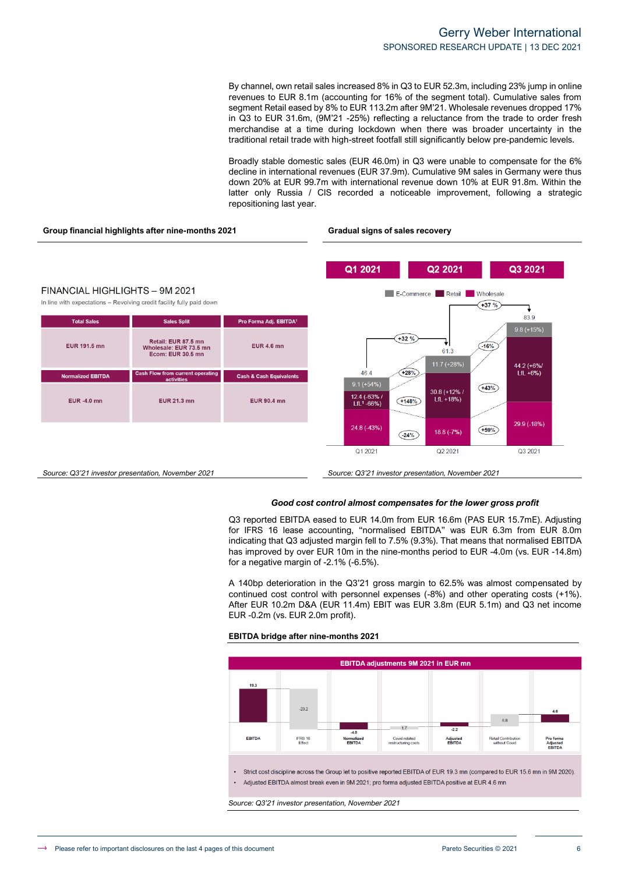By channel, own retail sales increased 8% in Q3 to EUR 52.3m, including 23% jump in online revenues to EUR 8.1m (accounting for 16% of the segment total). Cumulative sales from segment Retail eased by 8% to EUR 113.2m after 9M'21. Wholesale revenues dropped 17% in Q3 to EUR 31.6m, (9M'21 -25%) reflecting a reluctance from the trade to order fresh merchandise at a time during lockdown when there was broader uncertainty in the traditional retail trade with high-street footfall still significantly below pre-pandemic levels.

Broadly stable domestic sales (EUR 46.0m) in Q3 were unable to compensate for the 6% decline in international revenues (EUR 37.9m). Cumulative 9M sales in Germany were thus down 20% at EUR 99.7m with international revenue down 10% at EUR 91.8m. Within the latter only Russia / CIS recorded a noticeable improvement, following a strategic repositioning last year.



#### *Good cost control almost compensates for the lower gross profit*

Q3 reported EBITDA eased to EUR 14.0m from EUR 16.6m (PAS EUR 15.7mE). Adjusting for IFRS 16 lease accounting, "normalised EBITDA" was EUR 6.3m from EUR 8.0m indicating that Q3 adjusted margin fell to 7.5% (9.3%). That means that normalised EBITDA has improved by over EUR 10m in the nine-months period to EUR -4.0m (vs. EUR -14.8m) for a negative margin of -2.1% (-6.5%).

A 140bp deterioration in the Q3'21 gross margin to 62.5% was almost compensated by continued cost control with personnel expenses (-8%) and other operating costs (+1%). After EUR 10.2m D&A (EUR 11.4m) EBIT was EUR 3.8m (EUR 5.1m) and Q3 net income EUR -0.2m (vs. EUR 2.0m profit).

#### **EBITDA bridge after nine-months 2021**



*Source: Q3'21 investor presentation, November 2021*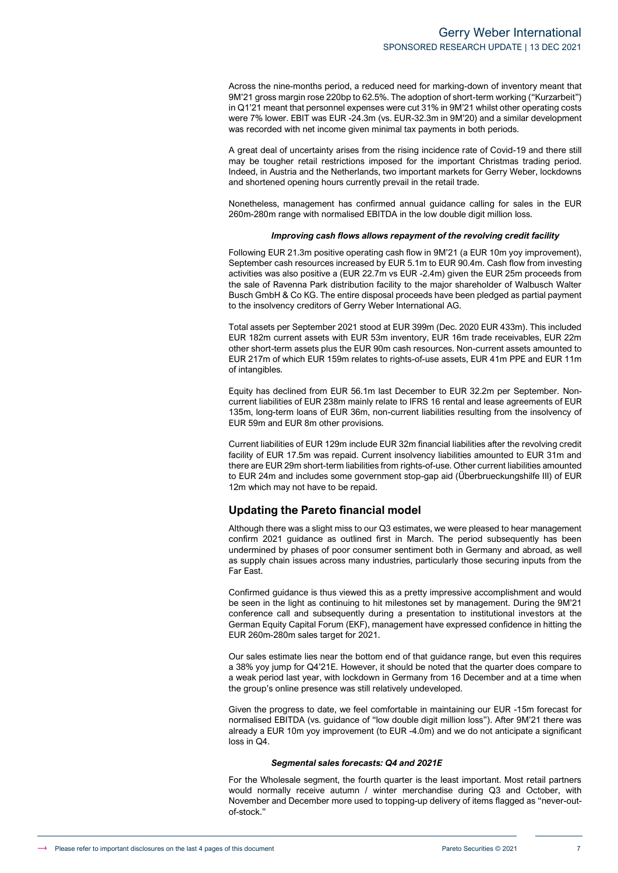Across the nine-months period, a reduced need for marking-down of inventory meant that 9M'21 gross margin rose 220bp to 62.5%. The adoption of short-term working ("Kurzarbeit") in Q1'21 meant that personnel expenses were cut 31% in 9M'21 whilst other operating costs were 7% lower. EBIT was EUR -24.3m (vs. EUR-32.3m in 9M'20) and a similar development was recorded with net income given minimal tax payments in both periods.

A great deal of uncertainty arises from the rising incidence rate of Covid-19 and there still may be tougher retail restrictions imposed for the important Christmas trading period. Indeed, in Austria and the Netherlands, two important markets for Gerry Weber, lockdowns and shortened opening hours currently prevail in the retail trade.

Nonetheless, management has confirmed annual guidance calling for sales in the EUR 260m-280m range with normalised EBITDA in the low double digit million loss.

#### *Improving cash flows allows repayment of the revolving credit facility*

Following EUR 21.3m positive operating cash flow in 9M'21 (a EUR 10m yoy improvement), September cash resources increased by EUR 5.1m to EUR 90.4m. Cash flow from investing activities was also positive a (EUR 22.7m vs EUR -2.4m) given the EUR 25m proceeds from the sale of Ravenna Park distribution facility to the major shareholder of Walbusch Walter Busch GmbH & Co KG. The entire disposal proceeds have been pledged as partial payment to the insolvency creditors of Gerry Weber International AG.

Total assets per September 2021 stood at EUR 399m (Dec. 2020 EUR 433m). This included EUR 182m current assets with EUR 53m inventory, EUR 16m trade receivables, EUR 22m other short-term assets plus the EUR 90m cash resources. Non-current assets amounted to EUR 217m of which EUR 159m relates to rights-of-use assets, EUR 41m PPE and EUR 11m of intangibles.

Equity has declined from EUR 56.1m last December to EUR 32.2m per September. Noncurrent liabilities of EUR 238m mainly relate to IFRS 16 rental and lease agreements of EUR 135m, long-term loans of EUR 36m, non-current liabilities resulting from the insolvency of EUR 59m and EUR 8m other provisions.

Current liabilities of EUR 129m include EUR 32m financial liabilities after the revolving credit facility of EUR 17.5m was repaid. Current insolvency liabilities amounted to EUR 31m and there are EUR 29m short-term liabilities from rights-of-use. Other current liabilities amounted to EUR 24m and includes some government stop-gap aid (Überbrueckungshilfe III) of EUR 12m which may not have to be repaid.

#### **Updating the Pareto financial model**

Although there was a slight miss to our Q3 estimates, we were pleased to hear management confirm 2021 guidance as outlined first in March. The period subsequently has been undermined by phases of poor consumer sentiment both in Germany and abroad, as well as supply chain issues across many industries, particularly those securing inputs from the Far East.

Confirmed guidance is thus viewed this as a pretty impressive accomplishment and would be seen in the light as continuing to hit milestones set by management. During the 9M'21 conference call and subsequently during a presentation to institutional investors at the German Equity Capital Forum (EKF), management have expressed confidence in hitting the EUR 260m-280m sales target for 2021.

Our sales estimate lies near the bottom end of that guidance range, but even this requires a 38% yoy jump for Q4'21E. However, it should be noted that the quarter does compare to a weak period last year, with lockdown in Germany from 16 December and at a time when the group's online presence was still relatively undeveloped.

Given the progress to date, we feel comfortable in maintaining our EUR -15m forecast for normalised EBITDA (vs. guidance of "low double digit million loss"). After 9M'21 there was already a EUR 10m yoy improvement (to EUR -4.0m) and we do not anticipate a significant loss in Q4.

#### *Segmental sales forecasts: Q4 and 2021E*

For the Wholesale segment, the fourth quarter is the least important. Most retail partners would normally receive autumn / winter merchandise during Q3 and October, with November and December more used to topping-up delivery of items flagged as "never-outof-stock."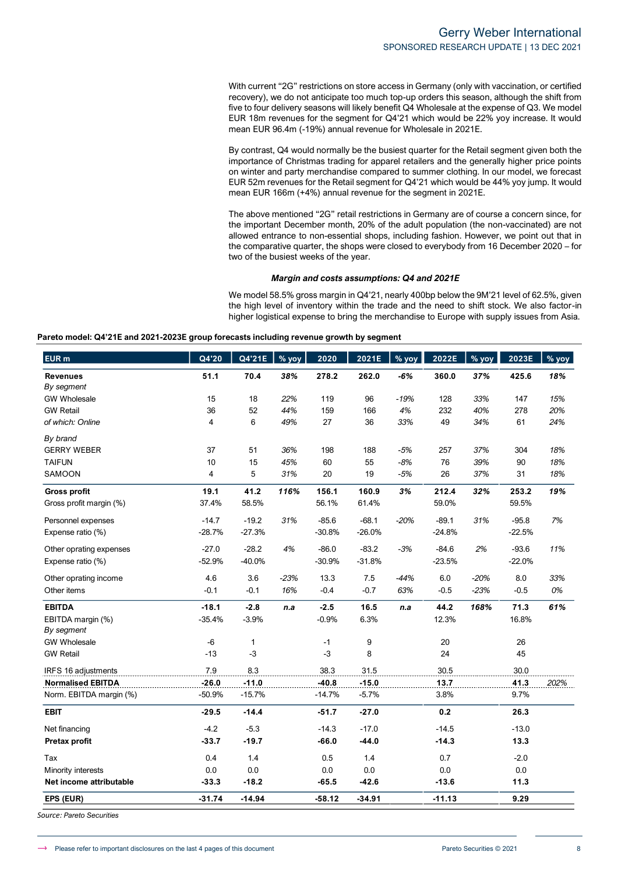With current "2G" restrictions on store access in Germany (only with vaccination, or certified recovery), we do not anticipate too much top-up orders this season, although the shift from five to four delivery seasons will likely benefit Q4 Wholesale at the expense of Q3. We model EUR 18m revenues for the segment for Q4'21 which would be 22% yoy increase. It would mean EUR 96.4m (-19%) annual revenue for Wholesale in 2021E.

By contrast, Q4 would normally be the busiest quarter for the Retail segment given both the importance of Christmas trading for apparel retailers and the generally higher price points on winter and party merchandise compared to summer clothing. In our model, we forecast EUR 52m revenues for the Retail segment for Q4'21 which would be 44% yoy jump. It would mean EUR 166m (+4%) annual revenue for the segment in 2021E.

The above mentioned "2G" retail restrictions in Germany are of course a concern since, for the important December month, 20% of the adult population (the non-vaccinated) are not allowed entrance to non-essential shops, including fashion. However, we point out that in the comparative quarter, the shops were closed to everybody from 16 December 2020 – for two of the busiest weeks of the year.

#### *Margin and costs assumptions: Q4 and 2021E*

We model 58.5% gross margin in Q4'21, nearly 400bp below the 9M'21 level of 62.5%, given the high level of inventory within the trade and the need to shift stock. We also factor-in higher logistical expense to bring the merchandise to Europe with supply issues from Asia.

| Pareto model: Q4'21E and 2021-2023E group forecasts including revenue growth by segment |  |
|-----------------------------------------------------------------------------------------|--|
|                                                                                         |  |

| <b>EUR</b> m                    | Q4'20                   | Q4'21E   | $%$ yoy | 2020     | 2021E    | $%$ yoy | 2022E    | % yoy  | 2023E    | $%$ vov |
|---------------------------------|-------------------------|----------|---------|----------|----------|---------|----------|--------|----------|---------|
| <b>Revenues</b>                 | 51.1                    | 70.4     | 38%     | 278.2    | 262.0    | $-6%$   | 360.0    | 37%    | 425.6    | 18%     |
| By segment                      |                         |          |         |          |          |         |          |        |          |         |
| <b>GW Wholesale</b>             | 15                      | 18       | 22%     | 119      | 96       | $-19%$  | 128      | 33%    | 147      | 15%     |
| <b>GW Retail</b>                | 36                      | 52       | 44%     | 159      | 166      | 4%      | 232      | 40%    | 278      | 20%     |
| of which: Online                | $\overline{\mathbf{4}}$ | 6        | 49%     | 27       | 36       | 33%     | 49       | 34%    | 61       | 24%     |
| By brand                        |                         |          |         |          |          |         |          |        |          |         |
| <b>GERRY WEBER</b>              | 37                      | 51       | 36%     | 198      | 188      | $-5%$   | 257      | 37%    | 304      | 18%     |
| <b>TAIFUN</b>                   | 10                      | 15       | 45%     | 60       | 55       | $-8%$   | 76       | 39%    | 90       | 18%     |
| SAMOON                          | 4                       | 5        | 31%     | 20       | 19       | $-5%$   | 26       | 37%    | 31       | 18%     |
| <b>Gross profit</b>             | 19.1                    | 41.2     | 116%    | 156.1    | 160.9    | 3%      | 212.4    | 32%    | 253.2    | 19%     |
| Gross profit margin (%)         | 37.4%                   | 58.5%    |         | 56.1%    | 61.4%    |         | 59.0%    |        | 59.5%    |         |
| Personnel expenses              | $-14.7$                 | $-19.2$  | 31%     | $-85.6$  | $-68.1$  | $-20%$  | $-89.1$  | 31%    | $-95.8$  | 7%      |
| Expense ratio (%)               | $-28.7%$                | $-27.3%$ |         | $-30.8%$ | $-26.0%$ |         | $-24.8%$ |        | $-22.5%$ |         |
| Other oprating expenses         | $-27.0$                 | $-28.2$  | 4%      | $-86.0$  | $-83.2$  | $-3%$   | $-84.6$  | 2%     | $-93.6$  | 11%     |
| Expense ratio (%)               | $-52.9%$                | $-40.0%$ |         | $-30.9%$ | $-31.8%$ |         | $-23.5%$ |        | $-22.0%$ |         |
| Other oprating income           | 4.6                     | 3.6      | $-23%$  | 13.3     | 7.5      | $-44%$  | 6.0      | $-20%$ | 8.0      | 33%     |
| Other items                     | $-0.1$                  | $-0.1$   | 16%     | $-0.4$   | $-0.7$   | 63%     | $-0.5$   | $-23%$ | $-0.5$   | 0%      |
| <b>EBITDA</b>                   | $-18.1$                 | $-2.8$   | n.a     | $-2.5$   | 16.5     | n.a     | 44.2     | 168%   | 71.3     | 61%     |
| EBITDA margin (%)<br>By segment | $-35.4%$                | $-3.9%$  |         | $-0.9%$  | 6.3%     |         | 12.3%    |        | 16.8%    |         |
| <b>GW Wholesale</b>             | $-6$                    | 1        |         | $-1$     | 9        |         | 20       |        | 26       |         |
| <b>GW Retail</b>                | $-13$                   | $-3$     |         | $-3$     | 8        |         | 24       |        | 45       |         |
| IRFS 16 adjustments             | 7.9                     | 8.3      |         | 38.3     | 31.5     |         | 30.5     |        | 30.0     |         |
| <b>Normalised EBITDA</b>        | $-26.0$                 | $-11.0$  |         | $-40.8$  | $-15.0$  |         | 13.7     |        | 41.3     | 202%    |
| Norm. EBITDA margin (%)         | $-50.9%$                | $-15.7%$ |         | $-14.7%$ | $-5.7%$  |         | 3.8%     |        | 9.7%     |         |
| <b>EBIT</b>                     | $-29.5$                 | $-14.4$  |         | $-51.7$  | $-27.0$  |         | 0.2      |        | 26.3     |         |
| Net financing                   | $-4.2$                  | $-5.3$   |         | $-14.3$  | $-17.0$  |         | $-14.5$  |        | $-13.0$  |         |
| <b>Pretax profit</b>            | $-33.7$                 | $-19.7$  |         | $-66.0$  | $-44.0$  |         | $-14.3$  |        | 13.3     |         |
| Tax                             | 0.4                     | 1.4      |         | 0.5      | 1.4      |         | 0.7      |        | $-2.0$   |         |
| Minority interests              | 0.0                     | 0.0      |         | 0.0      | 0.0      |         | 0.0      |        | 0.0      |         |
| Net income attributable         | $-33.3$                 | $-18.2$  |         | $-65.5$  | $-42.6$  |         | $-13.6$  |        | 11.3     |         |
| EPS (EUR)                       | $-31.74$                | $-14.94$ |         | $-58.12$ | $-34.91$ |         | $-11.13$ |        | 9.29     |         |

*Source: Pareto Securities*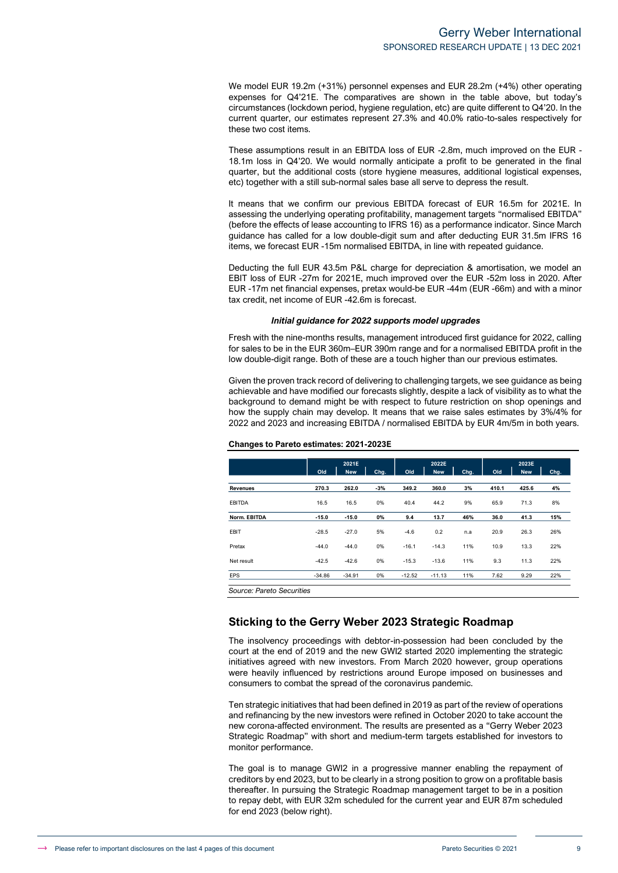We model EUR 19.2m (+31%) personnel expenses and EUR 28.2m (+4%) other operating expenses for Q4'21E. The comparatives are shown in the table above, but today's circumstances (lockdown period, hygiene regulation, etc) are quite different to Q4'20. In the current quarter, our estimates represent 27.3% and 40.0% ratio-to-sales respectively for these two cost items.

These assumptions result in an EBITDA loss of EUR -2.8m, much improved on the EUR - 18.1m loss in Q4'20. We would normally anticipate a profit to be generated in the final quarter, but the additional costs (store hygiene measures, additional logistical expenses, etc) together with a still sub-normal sales base all serve to depress the result.

It means that we confirm our previous EBITDA forecast of EUR 16.5m for 2021E. In assessing the underlying operating profitability, management targets "normalised EBITDA" (before the effects of lease accounting to IFRS 16) as a performance indicator. Since March guidance has called for a low double-digit sum and after deducting EUR 31.5m IFRS 16 items, we forecast EUR -15m normalised EBITDA, in line with repeated guidance.

Deducting the full EUR 43.5m P&L charge for depreciation & amortisation, we model an EBIT loss of EUR -27m for 2021E, much improved over the EUR -52m loss in 2020. After EUR -17m net financial expenses, pretax would-be EUR -44m (EUR -66m) and with a minor tax credit, net income of EUR -42.6m is forecast.

#### *Initial guidance for 2022 supports model upgrades*

Fresh with the nine-months results, management introduced first guidance for 2022, calling for sales to be in the EUR 360m–EUR 390m range and for a normalised EBITDA profit in the low double-digit range. Both of these are a touch higher than our previous estimates.

Given the proven track record of delivering to challenging targets, we see guidance as being achievable and have modified our forecasts slightly, despite a lack of visibility as to what the background to demand might be with respect to future restriction on shop openings and how the supply chain may develop. It means that we raise sales estimates by 3%/4% for 2022 and 2023 and increasing EBITDA / normalised EBITDA by EUR 4m/5m in both years.

|               |          | 2021E      |      |          | 2022E      |      |       | 2023E      |      |  |
|---------------|----------|------------|------|----------|------------|------|-------|------------|------|--|
|               | Old      | <b>New</b> | Chg. | Old      | <b>New</b> | Chg. | Old   | <b>New</b> | Chg. |  |
| Revenues      | 270.3    | 262.0      | -3%  | 349.2    | 360.0      | 3%   | 410.1 | 425.6      | 4%   |  |
| <b>EBITDA</b> | 16.5     | 16.5       | 0%   | 40.4     | 44.2       | 9%   | 65.9  | 71.3       | 8%   |  |
| Norm. EBITDA  | $-15.0$  | $-15.0$    | 0%   | 9.4      | 13.7       | 46%  | 36.0  | 41.3       | 15%  |  |
| <b>EBIT</b>   | $-28.5$  | $-27.0$    | 5%   | $-4.6$   | 0.2        | n.a  | 20.9  | 26.3       | 26%  |  |
| Pretax        | $-44.0$  | $-44.0$    | 0%   | $-16.1$  | $-14.3$    | 11%  | 10.9  | 13.3       | 22%  |  |
| Net result    | $-42.5$  | $-42.6$    | 0%   | $-15.3$  | $-13.6$    | 11%  | 9.3   | 11.3       | 22%  |  |
| <b>EPS</b>    | $-34.86$ | $-34.91$   | 0%   | $-12.52$ | $-11.13$   | 11%  | 7.62  | 9.29       | 22%  |  |

#### **Changes to Pareto estimates: 2021-2023E**

#### **Sticking to the Gerry Weber 2023 Strategic Roadmap**

The insolvency proceedings with debtor-in-possession had been concluded by the court at the end of 2019 and the new GWI2 started 2020 implementing the strategic initiatives agreed with new investors. From March 2020 however, group operations were heavily influenced by restrictions around Europe imposed on businesses and consumers to combat the spread of the coronavirus pandemic.

Ten strategic initiatives that had been defined in 2019 as part of the review of operations and refinancing by the new investors were refined in October 2020 to take account the new corona-affected environment. The results are presented as a "Gerry Weber 2023 Strategic Roadmap" with short and medium-term targets established for investors to monitor performance.

The goal is to manage GWI2 in a progressive manner enabling the repayment of creditors by end 2023, but to be clearly in a strong position to grow on a profitable basis thereafter. In pursuing the Strategic Roadmap management target to be in a position to repay debt, with EUR 32m scheduled for the current year and EUR 87m scheduled for end 2023 (below right).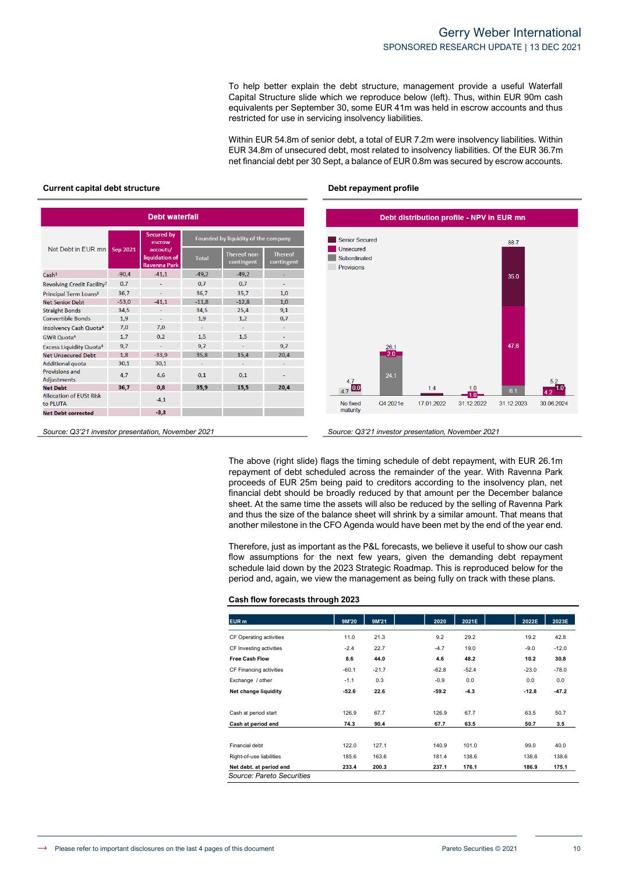To help better explain the debt structure, management provide a useful Waterfall Capital Structure slide which we reproduce below (left). Thus, within EUR 90m cash equivalents per September 30, some EUR 41m was held in escrow accounts and thus restricted for use in servicing insolvency liabilities.

Within EUR 54.8m of senior debt, a total of EUR 7.2m were insolvency liabilities. Within EUR 34.8m of unsecured debt, most related to insolvency liabilities. Of the EUR 36.7m net financial debt per 30 Sept, a balance of EUR 0.8m was secured by escrow accounts.

#### **Current capital debt structure debt in the profile of the Debt repayment profile**

| <b>Debt waterfall</b>                       |                                                                                     |                             |                                     |                            |                              |  |  |  |  |  |
|---------------------------------------------|-------------------------------------------------------------------------------------|-----------------------------|-------------------------------------|----------------------------|------------------------------|--|--|--|--|--|
|                                             |                                                                                     | <b>Secured by</b><br>escrow | Founded by liquidity of the company |                            |                              |  |  |  |  |  |
|                                             | Net Debt in FUR mn<br>Sep 2021<br>accouts/<br>liquidation of<br><b>Ravenna Park</b> |                             | <b>Total</b>                        | Thereof non-<br>contingent | <b>Thereof</b><br>contingent |  |  |  |  |  |
| Cash <sup>1</sup>                           | $-90.4$                                                                             | $-41.1$                     | $-49.2$                             | $-49.2$                    |                              |  |  |  |  |  |
| Revolving Credit Facility <sup>2</sup>      | 0.7                                                                                 |                             | 0.7                                 | 0.7                        |                              |  |  |  |  |  |
| Principal Term Loans <sup>3</sup>           | 36,7                                                                                | ٠                           | 36.7                                | 35,7                       | 1,0                          |  |  |  |  |  |
| <b>Net Senior Debt</b>                      | $-53.0$                                                                             | $-41.1$                     | $-11.8$                             | $-12.8$                    | 1.0                          |  |  |  |  |  |
| <b>Straight Bonds</b>                       | 34.5                                                                                | ٠                           | 34.5                                | 25,4                       | 9,1                          |  |  |  |  |  |
| <b>Convertible Bonds</b>                    | 1,9                                                                                 | $\overline{\phantom{a}}$    | 1.9                                 | 1,2                        | 0,7                          |  |  |  |  |  |
| Insolvency Cash Quota <sup>4</sup>          | 7.0                                                                                 | 7.0                         | ÷                                   | ٠                          | ٠                            |  |  |  |  |  |
| <b>GWR Quota<sup>4</sup></b>                | 1,7                                                                                 | 0.2                         | 1.5                                 | 1,5                        |                              |  |  |  |  |  |
| <b>Excess Liquidity Quota<sup>4</sup></b>   | 9.7                                                                                 | ÷,                          | 9.7                                 | ÷,                         | 9.7                          |  |  |  |  |  |
| Net Unsecured Debt                          | 1.8                                                                                 | $-33.9$                     | 35.8                                | 15,4                       | 20.4                         |  |  |  |  |  |
| <b>Additional quota</b>                     | 30.1                                                                                | 30.1                        | ٠                                   | ٠                          |                              |  |  |  |  |  |
| <b>Provisions and</b><br><b>Adjustments</b> | 4,7                                                                                 | 4,6                         | 0.1                                 | 0.1                        |                              |  |  |  |  |  |
| <b>Net Debt</b>                             | 36,7                                                                                | 0.8                         | 35.9                                | 15,5                       | 20,4                         |  |  |  |  |  |
| <b>Allocation of EUSt Risk</b><br>to PLUTA  |                                                                                     | $-4,1$                      |                                     |                            |                              |  |  |  |  |  |
| <b>Net Debt corrected</b>                   |                                                                                     | $-3,3$                      |                                     |                            |                              |  |  |  |  |  |



*Source: Q3'21 investor presentation, November 2021 Source: Q3'21 investor presentation, November 2021*

The above (right slide) flags the timing schedule of debt repayment, with EUR 26.1m repayment of debt scheduled across the remainder of the year. With Ravenna Park proceeds of EUR 25m being paid to creditors according to the insolvency plan, net financial debt should be broadly reduced by that amount per the December balance sheet. At the same time the assets will also be reduced by the selling of Ravenna Park and thus the size of the balance sheet will shrink by a similar amount. That means that another milestone in the CFO Agenda would have been met by the end of the year end.

Therefore, just as important as the P&L forecasts, we believe it useful to show our cash flow assumptions for the next few years, given the demanding debt repayment schedule laid down by the 2023 Strategic Roadmap. This is reproduced below for the period and, again, we view the management as being fully on track with these plans.

#### **Cash flow forecasts through 2023**

| EUR <sub>m</sub>                                     | 9M'20   | 9M'21   | 2020    | 2021E   | 2022E   | 2023E   |
|------------------------------------------------------|---------|---------|---------|---------|---------|---------|
| CF Operating activities                              | 11.0    | 21.3    | 9.2     | 29.2    | 19.2    | 42.8    |
| CF Investing activities                              | $-2.4$  | 22.7    | $-4.7$  | 19.0    | $-9.0$  | $-12.0$ |
| <b>Free Cash Flow</b>                                | 8.6     | 44.0    | 4.6     | 48.2    | 10.2    | 30.8    |
| CF Financing activities                              | $-60.1$ | $-21.7$ | $-62.8$ | $-52.4$ | $-23.0$ | $-78.0$ |
| Exchange / other                                     | $-1.1$  | 0.3     | $-0.9$  | 0.0     | 0.0     | 0.0     |
| Net change liquidity                                 | $-52.6$ | 22.6    | $-59.2$ | $-4.3$  | $-12.8$ | $-47.2$ |
| Cash at period start                                 | 126.9   | 67.7    | 126.9   | 67.7    | 63.5    | 50.7    |
| Cash at period end                                   | 74.3    | 90.4    | 67.7    | 63.5    | 50.7    | 3.5     |
|                                                      |         |         |         |         |         |         |
| Financial debt                                       | 122.0   | 127.1   | 140.9   | 101.0   | 99.0    | 40.0    |
| Right-of-use liabilities                             | 185.6   | 163.6   | 181.4   | 138.6   | 138.6   | 138.6   |
| Net debt. at period end<br>Source: Pareto Securities | 233.4   | 200.3   | 237.1   | 176.1   | 186.9   | 175.1   |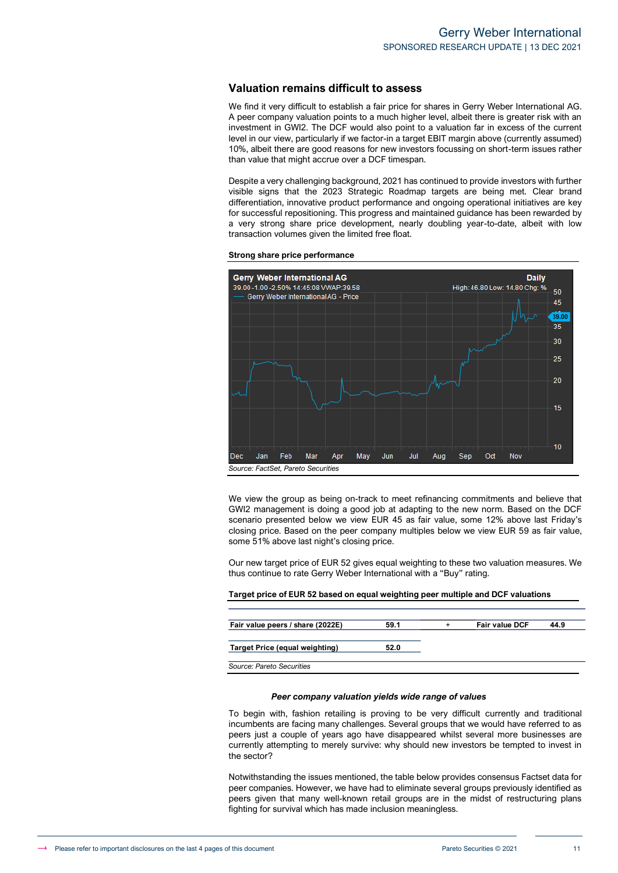#### **Valuation remains difficult to assess**

We find it very difficult to establish a fair price for shares in Gerry Weber International AG. A peer company valuation points to a much higher level, albeit there is greater risk with an investment in GWI2. The DCF would also point to a valuation far in excess of the current level in our view, particularly if we factor-in a target EBIT margin above (currently assumed) 10%, albeit there are good reasons for new investors focussing on short-term issues rather than value that might accrue over a DCF timespan.

Despite a very challenging background, 2021 has continued to provide investors with further visible signs that the 2023 Strategic Roadmap targets are being met. Clear brand differentiation, innovative product performance and ongoing operational initiatives are key for successful repositioning. This progress and maintained guidance has been rewarded by a very strong share price development, nearly doubling year-to-date, albeit with low transaction volumes given the limited free float.

**Strong share price performance**



We view the group as being on-track to meet refinancing commitments and believe that GWI2 management is doing a good job at adapting to the new norm. Based on the DCF scenario presented below we view EUR 45 as fair value, some 12% above last Friday's closing price. Based on the peer company multiples below we view EUR 59 as fair value, some 51% above last night's closing price.

Our new target price of EUR 52 gives equal weighting to these two valuation measures. We thus continue to rate Gerry Weber International with a "Buy" rating.

# **Target price of EUR 52 based on equal weighting peer multiple and DCF valuations**

| Fair value peers / share (2022E) | 59.1 | <b>Fair value DCF</b> | 44.9 |
|----------------------------------|------|-----------------------|------|
|                                  |      |                       |      |
| Target Price (equal weighting)   | 52.0 |                       |      |
|                                  |      |                       |      |
| Source: Pareto Securities        |      |                       |      |

#### *Peer company valuation yields wide range of values*

To begin with, fashion retailing is proving to be very difficult currently and traditional incumbents are facing many challenges. Several groups that we would have referred to as peers just a couple of years ago have disappeared whilst several more businesses are currently attempting to merely survive: why should new investors be tempted to invest in the sector?

Notwithstanding the issues mentioned, the table below provides consensus Factset data for peer companies. However, we have had to eliminate several groups previously identified as peers given that many well-known retail groups are in the midst of restructuring plans fighting for survival which has made inclusion meaningless.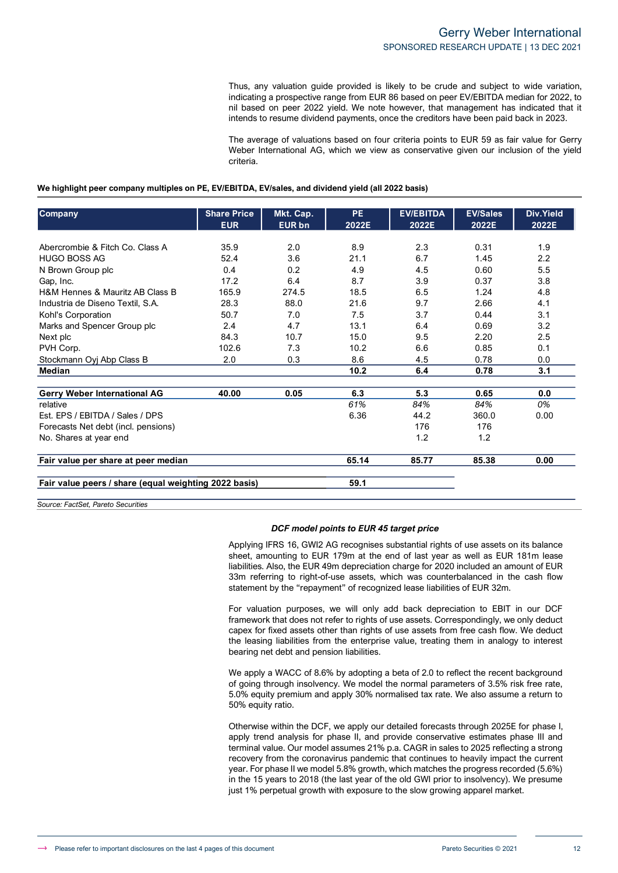Thus, any valuation guide provided is likely to be crude and subject to wide variation, indicating a prospective range from EUR 86 based on peer EV/EBITDA median for 2022, to nil based on peer 2022 yield. We note however, that management has indicated that it intends to resume dividend payments, once the creditors have been paid back in 2023.

The average of valuations based on four criteria points to EUR 59 as fair value for Gerry Weber International AG, which we view as conservative given our inclusion of the yield criteria.

#### **We highlight peer company multiples on PE, EV/EBITDA, EV/sales, and dividend yield (all 2022 basis)**

| <b>Company</b>                                        | <b>Share Price</b> | Mkt. Cap.     | <b>PE</b> | <b>EV/EBITDA</b> | <b>EV/Sales</b> | Div.Yield |
|-------------------------------------------------------|--------------------|---------------|-----------|------------------|-----------------|-----------|
|                                                       | <b>EUR</b>         | <b>EUR bn</b> | 2022E     | 2022E            | 2022E           | 2022E     |
| Abercrombie & Fitch Co. Class A                       | 35.9               | 2.0           | 8.9       | 2.3              | 0.31            | 1.9       |
| <b>HUGO BOSS AG</b>                                   | 52.4               | 3.6           | 21.1      | 6.7              | 1.45            | 2.2       |
| N Brown Group plc                                     | 0.4                | 0.2           | 4.9       | 4.5              | 0.60            | 5.5       |
| Gap, Inc.                                             | 17.2               | 6.4           | 8.7       | 3.9              | 0.37            | 3.8       |
| H&M Hennes & Mauritz AB Class B                       | 165.9              | 274.5         | 18.5      | 6.5              | 1.24            | 4.8       |
| Industria de Diseno Textil, S.A.                      | 28.3               | 88.0          | 21.6      | 9.7              | 2.66            | 4.1       |
| Kohl's Corporation                                    | 50.7               | 7.0           | 7.5       | 3.7              | 0.44            | 3.1       |
| Marks and Spencer Group plc                           | 2.4                | 4.7           | 13.1      | 6.4              | 0.69            | 3.2       |
| Next plc                                              | 84.3               | 10.7          | 15.0      | 9.5              | 2.20            | 2.5       |
| PVH Corp.                                             | 102.6              | 7.3           | 10.2      | 6.6              | 0.85            | 0.1       |
| Stockmann Oyj Abp Class B                             | 2.0                | 0.3           | 8.6       | 4.5              | 0.78            | 0.0       |
| <b>Median</b>                                         |                    |               | 10.2      | 6.4              | 0.78            | 3.1       |
| Gerry Weber International AG                          | 40.00              | 0.05          | 6.3       | 5.3              | 0.65            | 0.0       |
| relative                                              |                    |               | 61%       | 84%              | 84%             | 0%        |
| Est. EPS / EBITDA / Sales / DPS                       |                    |               | 6.36      | 44.2             | 360.0           | 0.00      |
| Forecasts Net debt (incl. pensions)                   |                    |               |           | 176              | 176             |           |
| No. Shares at year end                                |                    |               |           | 1.2              | 1.2             |           |
| Fair value per share at peer median                   |                    |               | 65.14     | 85.77            | 85.38           | 0.00      |
| Fair value peers / share (equal weighting 2022 basis) |                    |               | 59.1      |                  |                 |           |

*Source: FactSet, Pareto Securities*

#### *DCF model points to EUR 45 target price*

Applying IFRS 16, GWI2 AG recognises substantial rights of use assets on its balance sheet, amounting to EUR 179m at the end of last year as well as EUR 181m lease liabilities. Also, the EUR 49m depreciation charge for 2020 included an amount of EUR 33m referring to right-of-use assets, which was counterbalanced in the cash flow statement by the "repayment" of recognized lease liabilities of EUR 32m.

For valuation purposes, we will only add back depreciation to EBIT in our DCF framework that does not refer to rights of use assets. Correspondingly, we only deduct capex for fixed assets other than rights of use assets from free cash flow. We deduct the leasing liabilities from the enterprise value, treating them in analogy to interest bearing net debt and pension liabilities.

We apply a WACC of 8.6% by adopting a beta of 2.0 to reflect the recent background of going through insolvency. We model the normal parameters of 3.5% risk free rate, 5.0% equity premium and apply 30% normalised tax rate. We also assume a return to 50% equity ratio.

Otherwise within the DCF, we apply our detailed forecasts through 2025E for phase I, apply trend analysis for phase II, and provide conservative estimates phase III and terminal value. Our model assumes 21% p.a. CAGR in sales to 2025 reflecting a strong recovery from the coronavirus pandemic that continues to heavily impact the current year. For phase II we model 5.8% growth, which matches the progress recorded (5.6%) in the 15 years to 2018 (the last year of the old GWI prior to insolvency). We presume just 1% perpetual growth with exposure to the slow growing apparel market.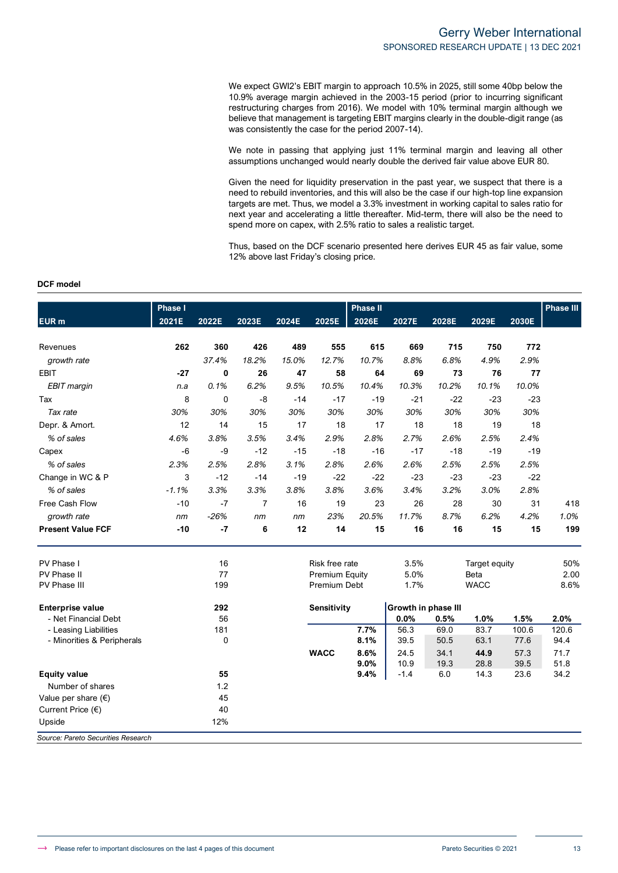We expect GWI2's EBIT margin to approach 10.5% in 2025, still some 40bp below the 10.9% average margin achieved in the 2003-15 period (prior to incurring significant restructuring charges from 2016). We model with 10% terminal margin although we believe that management is targeting EBIT margins clearly in the double-digit range (as was consistently the case for the period 2007-14).

We note in passing that applying just 11% terminal margin and leaving all other assumptions unchanged would nearly double the derived fair value above EUR 80.

Given the need for liquidity preservation in the past year, we suspect that there is a need to rebuild inventories, and this will also be the case if our high-top line expansion targets are met. Thus, we model a 3.3% investment in working capital to sales ratio for next year and accelerating a little thereafter. Mid-term, there will also be the need to spend more on capex, with 2.5% ratio to sales a realistic target.

Thus, based on the DCF scenario presented here derives EUR 45 as fair value, some 12% above last Friday's closing price.

#### **DCF model**

|                                         | <b>Phase I</b> |          |                |       |                       | <b>Phase II</b> |                     |       |               |       | <b>Phase III</b> |
|-----------------------------------------|----------------|----------|----------------|-------|-----------------------|-----------------|---------------------|-------|---------------|-------|------------------|
| EUR <sub>m</sub>                        | 2021E          | 2022E    | 2023E          | 2024E | 2025E                 | 2026E           | 2027E               | 2028E | 2029E         | 2030E |                  |
| Revenues                                | 262            | 360      | 426            | 489   | 555                   | 615             | 669                 | 715   | 750           | 772   |                  |
| growth rate                             |                | 37.4%    | 18.2%          | 15.0% | 12.7%                 | 10.7%           | 8.8%                | 6.8%  | 4.9%          | 2.9%  |                  |
| <b>EBIT</b>                             | $-27$          | $\bf{0}$ | 26             | 47    | 58                    | 64              | 69                  | 73    | 76            | 77    |                  |
| <b>EBIT</b> margin                      | n.a            | 0.1%     | 6.2%           | 9.5%  | 10.5%                 | 10.4%           | 10.3%               | 10.2% | 10.1%         | 10.0% |                  |
| Tax                                     | 8              | $\Omega$ | $-8$           | $-14$ | $-17$                 | $-19$           | $-21$               | $-22$ | $-23$         | $-23$ |                  |
| Tax rate                                | 30%            | 30%      | 30%            | 30%   | 30%                   | 30%             | 30%                 | 30%   | 30%           | 30%   |                  |
| Depr. & Amort.                          | 12             | 14       | 15             | 17    | 18                    | 17              | 18                  | 18    | 19            | 18    |                  |
| % of sales                              | 4.6%           | 3.8%     | 3.5%           | 3.4%  | 2.9%                  | 2.8%            | 2.7%                | 2.6%  | 2.5%          | 2.4%  |                  |
| Capex                                   | $-6$           | $-9$     | $-12$          | $-15$ | $-18$                 | $-16$           | $-17$               | $-18$ | $-19$         | $-19$ |                  |
| % of sales                              | 2.3%           | 2.5%     | 2.8%           | 3.1%  | 2.8%                  | 2.6%            | 2.6%                | 2.5%  | 2.5%          | 2.5%  |                  |
| Change in WC & P                        | 3              | $-12$    | -14            | $-19$ | $-22$                 | $-22$           | $-23$               | $-23$ | $-23$         | $-22$ |                  |
| % of sales                              | $-1.1%$        | 3.3%     | 3.3%           | 3.8%  | 3.8%                  | 3.6%            | 3.4%                | 3.2%  | 3.0%          | 2.8%  |                  |
| Free Cash Flow                          | $-10$          | $-7$     | $\overline{7}$ | 16    | 19                    | 23              | 26                  | 28    | 30            | 31    | 418              |
| growth rate                             | nm             | $-26%$   | nm             | nm    | 23%                   | 20.5%           | 11.7%               | 8.7%  | 6.2%          | 4.2%  | 1.0%             |
| <b>Present Value FCF</b>                | $-10$          | $-7$     | 6              | 12    | 14                    | 15              | 16                  | 16    | 15            | 15    | 199              |
| PV Phase I                              |                | 16       |                |       | Risk free rate        |                 | 3.5%                |       | Target equity |       | 50%              |
| PV Phase II                             |                | 77       |                |       | <b>Premium Equity</b> |                 | 5.0%                |       | Beta          |       | 2.00             |
| <b>PV Phase III</b>                     |                | 199      |                |       | Premium Debt          |                 | 1.7%                |       | <b>WACC</b>   |       | 8.6%             |
| <b>Enterprise value</b>                 |                | 292      |                |       | <b>Sensitivity</b>    |                 | Growth in phase III |       |               |       |                  |
| - Net Financial Debt                    |                | 56       |                |       |                       |                 | 0.0%                | 0.5%  | 1.0%          | 1.5%  | 2.0%             |
| - Leasing Liabilities                   |                | 181      |                |       |                       | 7.7%            | 56.3                | 69.0  | 83.7          | 100.6 | 120.6            |
| - Minorities & Peripherals              |                | 0        |                |       |                       | 8.1%            | 39.5                | 50.5  | 63.1          | 77.6  | 94.4             |
|                                         |                |          |                |       | <b>WACC</b>           | 8.6%            | 24.5                | 34.1  | 44.9          | 57.3  | 71.7             |
|                                         |                | 55       |                |       |                       | 9.0%            | 10.9<br>$-1.4$      | 19.3  | 28.8          | 39.5  | 51.8             |
| <b>Equity value</b><br>Number of shares |                | 1.2      |                |       |                       | 9.4%            |                     | 6.0   | 14.3          | 23.6  | 34.2             |
| Value per share $(\epsilon)$            |                | 45       |                |       |                       |                 |                     |       |               |       |                  |
| Current Price $(\epsilon)$              |                | 40       |                |       |                       |                 |                     |       |               |       |                  |
| Upside                                  |                | 12%      |                |       |                       |                 |                     |       |               |       |                  |
| Source: Pareto Securities Research      |                |          |                |       |                       |                 |                     |       |               |       |                  |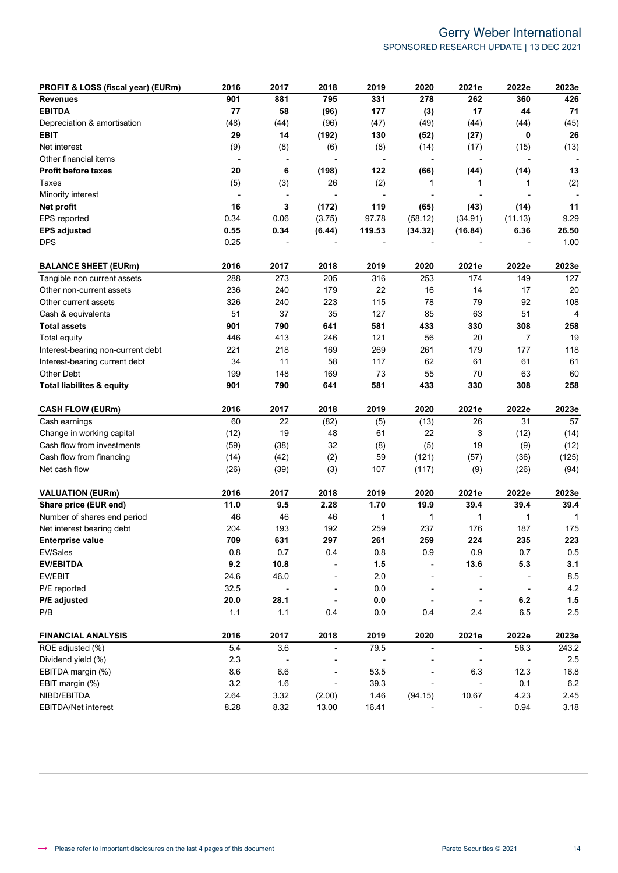## Gerry Weber International SPONSORED RESEARCH UPDATE | 13 DEC 2021

| PROFIT & LOSS (fiscal year) (EURm)   | 2016  | 2017                     | 2018                     | 2019                     | 2020                     | 2021e                    | 2022e                    | 2023e   |
|--------------------------------------|-------|--------------------------|--------------------------|--------------------------|--------------------------|--------------------------|--------------------------|---------|
| <b>Revenues</b>                      | 901   | 881                      | 795                      | 331                      | 278                      | 262                      | 360                      | 426     |
| <b>EBITDA</b>                        | 77    | 58                       | (96)                     | 177                      | (3)                      | 17                       | 44                       | 71      |
| Depreciation & amortisation          | (48)  | (44)                     | (96)                     | (47)                     | (49)                     | (44)                     | (44)                     | (45)    |
| <b>EBIT</b>                          | 29    | 14                       | (192)                    | 130                      | (52)                     | (27)                     | 0                        | 26      |
| Net interest                         | (9)   | (8)                      | (6)                      | (8)                      | (14)                     | (17)                     | (15)                     | (13)    |
| Other financial items                |       | $\overline{\phantom{a}}$ |                          |                          |                          |                          |                          |         |
| <b>Profit before taxes</b>           | 20    | 6                        | (198)                    | 122                      | (66)                     | (44)                     | (14)                     | 13      |
| Taxes                                | (5)   | (3)                      | 26                       | (2)                      | 1                        | 1                        | 1                        | (2)     |
| Minority interest                    |       | $\overline{\phantom{a}}$ |                          |                          |                          |                          |                          |         |
| Net profit                           | 16    | 3                        | (172)                    | 119                      | (65)                     | (43)                     | (14)                     | 11      |
| EPS reported                         | 0.34  | 0.06                     | (3.75)                   | 97.78                    | (58.12)                  | (34.91)                  | (11.13)                  | 9.29    |
| <b>EPS adjusted</b>                  | 0.55  | 0.34                     | (6.44)                   | 119.53                   | (34.32)                  | (16.84)                  | 6.36                     | 26.50   |
| <b>DPS</b>                           | 0.25  | ٠                        |                          |                          |                          |                          |                          | 1.00    |
| <b>BALANCE SHEET (EURm)</b>          | 2016  | 2017                     | 2018                     | 2019                     | 2020                     | 2021e                    | 2022e                    | 2023e   |
| Tangible non current assets          | 288   | 273                      | 205                      | 316                      | 253                      | 174                      | 149                      | 127     |
| Other non-current assets             | 236   | 240                      | 179                      | 22                       | 16                       | 14                       | 17                       | 20      |
| Other current assets                 | 326   | 240                      | 223                      | 115                      | 78                       | 79                       | 92                       | 108     |
| Cash & equivalents                   | 51    | 37                       | 35                       | 127                      | 85                       | 63                       | 51                       | 4       |
| <b>Total assets</b>                  | 901   | 790                      | 641                      | 581                      | 433                      | 330                      | 308                      | 258     |
| <b>Total equity</b>                  | 446   | 413                      | 246                      | 121                      | 56                       | 20                       | 7                        | 19      |
| Interest-bearing non-current debt    | 221   | 218                      | 169                      | 269                      | 261                      | 179                      | 177                      | 118     |
| Interest-bearing current debt        | 34    | 11                       | 58                       | 117                      | 62                       | 61                       | 61                       | 61      |
| Other Debt                           | 199   | 148                      | 169                      | 73                       | 55                       | 70                       | 63                       | 60      |
| <b>Total liabilites &amp; equity</b> | 901   | 790                      | 641                      | 581                      | 433                      | 330                      | 308                      | 258     |
| <b>CASH FLOW (EURm)</b>              | 2016  | 2017                     | 2018                     | 2019                     | 2020                     | 2021e                    | 2022e                    | 2023e   |
| Cash earnings                        | 60    | 22                       | (82)                     | (5)                      | (13)                     | 26                       | 31                       | 57      |
| Change in working capital            | (12)  | 19                       | 48                       | 61                       | 22                       | 3                        | (12)                     | (14)    |
| Cash flow from investments           | (59)  | (38)                     | 32                       | (8)                      | (5)                      | 19                       | (9)                      | (12)    |
| Cash flow from financing             | (14)  | (42)                     | (2)                      | 59                       | (121)                    | (57)                     | (36)                     | (125)   |
| Net cash flow                        | (26)  | (39)                     | (3)                      | 107                      | (117)                    | (9)                      | (26)                     | (94)    |
| <b>VALUATION (EURm)</b>              | 2016  | 2017                     | 2018                     | 2019                     | 2020                     | 2021e                    | 2022e                    | 2023e   |
| Share price (EUR end)                | 11.0  | 9.5                      | 2.28                     | 1.70                     | 19.9                     | 39.4                     | 39.4                     | 39.4    |
| Number of shares end period          | 46    | 46                       | 46                       | 1                        | 1                        | 1                        | 1                        | 1       |
| Net interest bearing debt            | 204   | 193                      | 192                      | 259                      | 237                      | 176                      | 187                      | 175     |
| <b>Enterprise value</b>              | 709   | 631                      | 297                      | 261                      | 259                      | 224                      | 235                      | 223     |
| EV/Sales                             | 0.8   | 0.7                      | 0.4                      | 0.8                      | 0.9                      | 0.9                      | 0.7                      | 0.5     |
| <b>EV/EBITDA</b>                     | 9.2   | 10.8                     |                          | 1.5                      |                          | 13.6                     | 5.3                      | 3.1     |
| EV/EBIT                              | 24.6  | 46.0                     |                          | 2.0                      |                          |                          |                          | 8.5     |
| P/E reported                         | 32.5  | $\overline{\phantom{a}}$ |                          | $0.0\,$                  |                          |                          | $\overline{\phantom{a}}$ | $4.2\,$ |
| P/E adjusted                         | 20.0  | 28.1                     |                          | $0.0\,$                  |                          |                          | 6.2                      | 1.5     |
| P/B                                  | $1.1$ | 1.1                      | 0.4                      | 0.0                      | 0.4                      | 2.4                      | 6.5                      | 2.5     |
| <b>FINANCIAL ANALYSIS</b>            | 2016  | 2017                     | 2018                     | 2019                     | 2020                     | 2021e                    | 2022e                    | 2023e   |
| ROE adjusted (%)                     | 5.4   | 3.6                      | $\overline{\phantom{0}}$ | 79.5                     | $\overline{\phantom{a}}$ | $\overline{\phantom{a}}$ | 56.3                     | 243.2   |
| Dividend yield (%)                   | 2.3   | $\overline{\phantom{a}}$ |                          | $\overline{\phantom{a}}$ | $\overline{a}$           |                          | $\overline{\phantom{a}}$ | $2.5\,$ |
| EBITDA margin (%)                    | 8.6   | 6.6                      |                          | 53.5                     |                          | 6.3                      | 12.3                     | 16.8    |
| EBIT margin (%)                      | 3.2   | 1.6                      |                          | 39.3                     |                          |                          | 0.1                      | $6.2\,$ |
| NIBD/EBITDA                          | 2.64  | 3.32                     | (2.00)                   | 1.46                     | (94.15)                  | 10.67                    | 4.23                     | 2.45    |
| EBITDA/Net interest                  | 8.28  | 8.32                     | 13.00                    | 16.41                    |                          |                          | 0.94                     | 3.18    |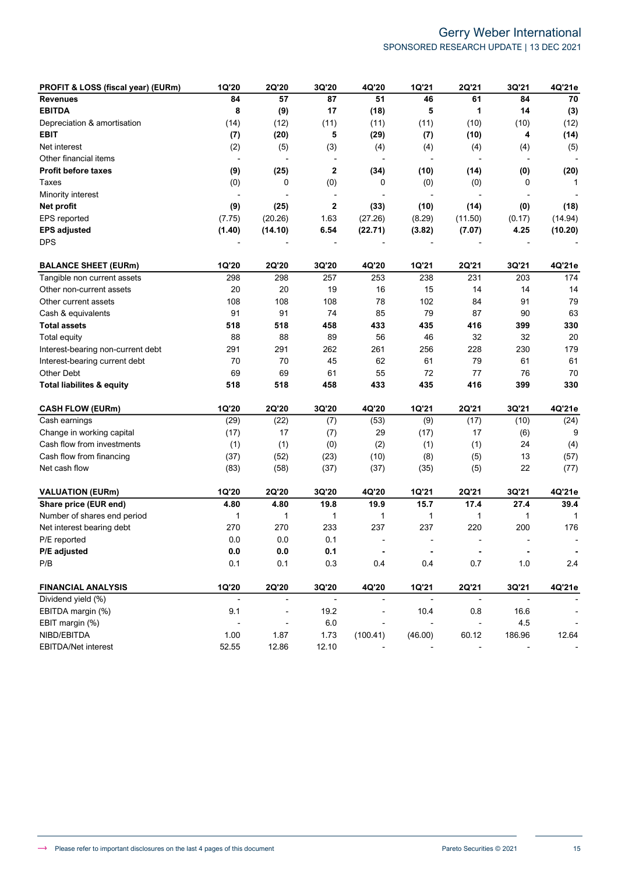## Gerry Weber International SPONSORED RESEARCH UPDATE | 13 DEC 2021

| PROFIT & LOSS (fiscal year) (EURm)   | 1Q'20                    | 2Q'20                    | 3Q'20                    | 4Q'20                    | 1Q'21                       | 2Q'21                    | 3Q'21                    | 4Q'21e                   |
|--------------------------------------|--------------------------|--------------------------|--------------------------|--------------------------|-----------------------------|--------------------------|--------------------------|--------------------------|
| <b>Revenues</b>                      | 84                       | 57                       | 87                       | 51                       | 46                          | 61                       | 84                       | 70                       |
| <b>EBITDA</b>                        | 8                        | (9)                      | 17                       | (18)                     | 5                           | 1                        | 14                       | (3)                      |
| Depreciation & amortisation          | (14)                     | (12)                     | (11)                     | (11)                     | (11)                        | (10)                     | (10)                     | (12)                     |
| <b>EBIT</b>                          | (7)                      | (20)                     | 5                        | (29)                     | (7)                         | (10)                     | 4                        | (14)                     |
| Net interest                         | (2)                      | (5)                      | (3)                      | (4)                      | (4)                         | (4)                      | (4)                      | (5)                      |
| Other financial items                | $\overline{\phantom{a}}$ |                          |                          | $\overline{a}$           | $\overline{\phantom{a}}$    |                          | $\overline{\phantom{a}}$ |                          |
| <b>Profit before taxes</b>           | (9)                      | (25)                     | $\mathbf 2$              | (34)                     | (10)                        | (14)                     | (0)                      | (20)                     |
| Taxes                                | (0)                      | 0                        | (0)                      | 0                        | (0)                         | (0)                      | 0                        | 1                        |
| Minority interest                    | $\overline{a}$           |                          | $\overline{\phantom{a}}$ |                          |                             | $\overline{a}$           |                          |                          |
| Net profit                           | (9)                      | (25)                     | 2                        | (33)                     | (10)                        | (14)                     | (0)                      | (18)                     |
| EPS reported                         | (7.75)                   | (20.26)                  | 1.63                     | (27.26)                  | (8.29)                      | (11.50)                  | (0.17)                   | (14.94)                  |
| <b>EPS adjusted</b>                  | (1.40)                   | (14.10)                  | 6.54                     | (22.71)                  | (3.82)                      | (7.07)                   | 4.25                     | (10.20)                  |
| <b>DPS</b>                           |                          |                          |                          |                          |                             |                          |                          |                          |
| <b>BALANCE SHEET (EURm)</b>          | 1Q'20                    | 2Q'20                    | 3Q'20                    | 4Q'20                    | 1Q'21                       | 2Q'21                    | 3Q'21                    | 4Q'21e                   |
| Tangible non current assets          | 298                      | 298                      | 257                      | 253                      | 238                         | 231                      | 203                      | 174                      |
| Other non-current assets             | 20                       | 20                       | 19                       | 16                       | 15                          | 14                       | 14                       | 14                       |
| Other current assets                 | 108                      | 108                      | 108                      | 78                       | 102                         | 84                       | 91                       | 79                       |
| Cash & equivalents                   | 91                       | 91                       | 74                       | 85                       | 79                          | 87                       | 90                       | 63                       |
| <b>Total assets</b>                  | 518                      | 518                      | 458                      | 433                      | 435                         | 416                      | 399                      | 330                      |
| Total equity                         | 88                       | 88                       | 89                       | 56                       | 46                          | 32                       | 32                       | 20                       |
| Interest-bearing non-current debt    | 291                      | 291                      | 262                      | 261                      | 256                         | 228                      | 230                      | 179                      |
| Interest-bearing current debt        | 70                       | 70                       | 45                       | 62                       | 61                          | 79                       | 61                       | 61                       |
| Other Debt                           | 69                       | 69                       | 61                       | 55                       | 72                          | 77                       | 76                       | 70                       |
| <b>Total liabilites &amp; equity</b> | 518                      | 518                      | 458                      | 433                      | 435                         | 416                      | 399                      | 330                      |
| <b>CASH FLOW (EURm)</b>              | 1Q'20                    | 2Q'20                    | 3Q'20                    | 4Q'20                    | 1Q'21                       | 2Q'21                    | 3Q'21                    | 4Q'21e                   |
| Cash earnings                        | (29)                     | (22)                     | (7)                      | (53)                     | (9)                         | (17)                     | (10)                     | (24)                     |
| Change in working capital            | (17)                     | 17                       | (7)                      | 29                       | (17)                        | 17                       | (6)                      | 9                        |
| Cash flow from investments           | (1)                      | (1)                      | (0)                      | (2)                      | (1)                         | (1)                      | 24                       | (4)                      |
| Cash flow from financing             | (37)                     | (52)                     | (23)                     | (10)                     | (8)                         | (5)                      | 13                       | (57)                     |
| Net cash flow                        | (83)                     | (58)                     | (37)                     | (37)                     | (35)                        | (5)                      | 22                       | (77)                     |
| <b>VALUATION (EURm)</b>              | 1Q'20                    | 2Q'20                    | 3Q'20                    | 4Q'20                    | 1Q'21                       | 2Q'21                    | 3Q'21                    | 4Q'21e                   |
| Share price (EUR end)                | 4.80                     | 4.80                     | 19.8                     | 19.9                     | 15.7                        | 17.4                     | 27.4                     | 39.4                     |
| Number of shares end period          | 1                        | 1                        | 1                        | 1                        | 1                           | 1                        | 1                        | 1                        |
| Net interest bearing debt            | 270                      | 270                      | 233                      | 237                      | 237                         | 220                      | 200                      | 176                      |
| P/E reported                         | 0.0                      | 0.0                      | 0.1                      | $\blacksquare$           |                             |                          |                          |                          |
| P/E adjusted                         | $0.0\,$                  | $0.0\,$                  | 0.1                      | $\blacksquare$           | $\blacksquare$              | $\blacksquare$           | $\blacksquare$           | $\bullet$                |
| P/B                                  | 0.1                      | 0.1                      | 0.3                      | 0.4                      | 0.4                         | 0.7                      | 1.0                      | 2.4                      |
| <b>FINANCIAL ANALYSIS</b>            | 1Q'20                    | 2Q'20                    | 3Q'20                    | 4Q'20                    | <b>1Q'21</b>                | 2Q'21                    | 3Q'21                    | 4Q'21e                   |
| Dividend yield (%)                   | $\blacksquare$           | $\overline{\phantom{a}}$ | $\overline{\phantom{a}}$ | $\overline{\phantom{a}}$ | $\mathcal{L}_{\mathcal{A}}$ | $\overline{\phantom{a}}$ | $\overline{\phantom{a}}$ |                          |
| EBITDA margin (%)                    | 9.1                      | $\overline{\phantom{a}}$ | 19.2                     |                          | 10.4                        | 0.8                      | 16.6                     | $\overline{\phantom{a}}$ |
| EBIT margin (%)                      | $\overline{a}$           | $\overline{\phantom{a}}$ | $6.0\,$                  | $\overline{\phantom{a}}$ | $\blacksquare$              | $\blacksquare$           | 4.5                      | $\overline{\phantom{a}}$ |
| NIBD/EBITDA                          | 1.00                     | 1.87                     | 1.73                     | (100.41)                 | (46.00)                     | 60.12                    | 186.96                   | 12.64                    |
| EBITDA/Net interest                  | 52.55                    | 12.86                    | 12.10                    |                          |                             |                          |                          |                          |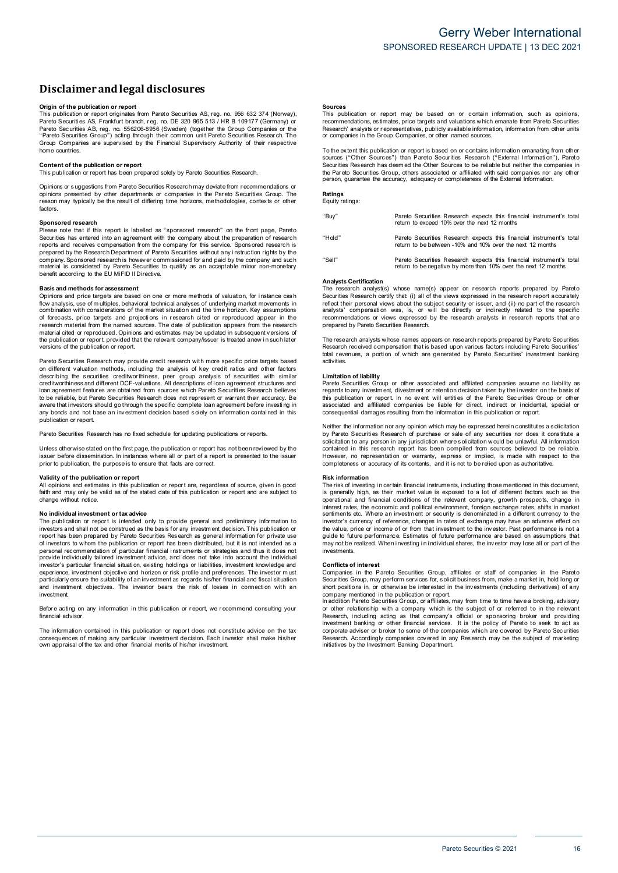#### **Disclaimerandlegal disclosures**

**Origin <b>of the publication or report**<br>This publication or report originates from Pareto Securities AS, reg. no. 956 632 374 (Norway), Pareto Securiti es AS, Frankfurt branch, r eg. no. DE 320 965 513 / HR B 109177 (Germany) or Pareto Securities AB, reg. no. 556206-8956 (Sweden) (together the Group Companies or the<br>"Pareto Securities Group") acting through their common unit Pareto Securities Research. The<br>Group Companies are supervised by the Fin home countries.

#### **Content of the publication or report**

This publication or report has been prepared solely by Pareto Securities Research.

Opinions or s uggestions from Pareto Securities Research may deviate from r ecommendations or opinions presented by other departments or companies in the Pareto Securities Group. The<br>reason may typically be the result of differing time horizons, methodologies, contexts or other factors.

#### **Sponsored research**

Please note that if this report is labelled as "sponsored research" on the front page, Pareto Securities has entered into an agreement with the company about the preparation of research<br>reports and receives compensation from the company for this service. Sponsored research is prepared by the Research Department of Pareto Securities without any instruction rights by the company. Sponsored research is however commissioned for and paid by the company and such company. material is considered by Pareto Securities to qualify as an acceptable minor non-monetary benefit according to the EU MiFID II Directive.

#### **Basis and methods for assessment**

Opinions and price targets are based on one or more methods of valuation, for instance cash flow analysis, use of m ultiples, behavioral technical analyses o f underlying market movements i n combination with considerations of the market situation and the time horizon. Key assumptions<br>of forecasts, price targets and projections in research cited or reproduced appear in the research material from the named sources. The date of publication appears from the research material cited or reproduced. Opinions and estimates may be updated in subsequent versions of the publication or report, provided that the relevant company/issuer is treated anew in such later<br>versions of the publication or report.

Pareto Securities Research may provide credit research with more specific price targets based on different valuation methods, incl uding the analysis of key credit ratios and other factors describing the securities creditworthiness, peer group analysis of securities with similar<br>creditworthinessand different DCF-valuations. All descriptions of loan agreement structures and<br>loan agreement features are obtaine to be reliable, but Pareto Securities Research does not represent or warrant their accuracy. Be<br>aware that investors should go through the specific complete loan agreement before investing in any bonds and not base an investment decision based solely on information contained in this publication or report.

Pareto Securities Research has no fixed schedule for updating publications or reports.

Unless otherwise stated on the first page, the publication or report has not been revi ewed by the issuer before dissemination. In instances where all or part of a report is presented to the issuer<br>prior to publication, the purpose is to ensure that facts are correct.

#### **Validity of the publication or report**

All opinions and estimates in this publication or report are, regardless of source, given in good<br>faith and may only be valid as of the stated date of this publication or report and are subject to change without notice.

#### **N o individual investment o r tax advice**

The publication or report is intended only to provide general and preliminary information to investors and shall not be construed as the basis for any investment decision. This publication or report has been prepared by Pareto Securities Research as general information for private use of investors to whom the publication or report has been distributed, but it is not intended as a<br>personal recommendation of particular financial instruments or strategies and thus it does not provide individually tailored investment advice, and does not take into account the i ndividual investor's particular financial situati on, existing holdings or liabilities, investment knowledge and experience, investment objective and horizon or risk profile and preferences. The investor must<br>particularly ensure the suitability of an investment as regards his/her financial and fiscal situation and investment objectives. The investor bears the risk of losses in connection with an investment.

Before acting on any information in this publication or report, we recommend consulting your financial advisor.

The information contained in this publication or report does not constitute advice on the tax consequences of making any particular investment decision. Each investor shall make his/her<br>own appraisal of the tax and other financial merits of his/her investment.

**Sources**<br>This publication or report may be based on or contain information, such as opinions, recommendations, es timates, price targets and valuations w hich emanate from Pareto Securities Research' analysts or representatives, publicly available information, information from other units<br>or companies in the Group Companies, or other named sources.

To the extent this publication or report is based on or contains information emanating from other<br>sources ("Other Sources") than Pareto Securities Research ("External Information"), Pareto Securities Res earch has deem ed the Other Sources to be reliable but neither the companies in the Par eto Securities Group, others associated or affiliated with said compani es nor any other person, guarantee the accuracy, adequacy or completeness of the External Information.

#### **Ratings** Equity ratings:

| "Buy"  | Pareto Securities Research expects this financial instrument's total<br>return to exceed 10% over the next 12 months                   |
|--------|----------------------------------------------------------------------------------------------------------------------------------------|
| "Hold" | Pareto Securities Research expects this financial instrument's total<br>return to be between -10% and 10% over the next 12 months      |
| "Sell" | Pareto Securities Research expects this financial instrument's total<br>return to be negative by more than 10% over the next 12 months |

#### **Analysts Certification**

The research analyst(s) whose name(s) appear on research reports prepared by Pareto Securities Research certify that: (i) all of the views expressed in the research report accurately reflect their personal views about the subject security or issuer, and (ii) no part of the research analysts' compensation was, is, or will be directly or indirectly related to the specific<br>recommendations or views expressed by the research analysts in research reports that are prepared by Pareto Securities Research.

The research analysts w hose names appears on research reports prepared by Pareto Securities<br>Research received compensation that is based upon various factors i ncluding Pareto Securities' total revenues, a portion of which are generated by Pareto Securities' investment banking activities.

#### **Limitation of liability**

Pareto Securities Group or other associated and affiliated companies assume no liability as<br>regards to any investment, divestment or retention decision taken by the investor on the basis of this publication or report. In no event will entities of the Pareto Securities Group or other<br>associated and affiliated companies be liable for direct, indirect or incidental, special or consequential damages resulting from the information in this publication or report.

Neither the information nor any opinion which may be expressed herein constitutes a solicitation<br>by Pareto Securities Research of purchase or sale of any securities nor does it constitute a solicitation to any person in any jurisdiction where solicitation would be unlawful. All information<br>contained in this research report has been compiled from sources believed to be reliable. However, no representation or warranty, express or implied, is made with respect to the completeness or accuracy of its contents, and it is not to be relied upon as authoritative.

#### **Risk information**

The risk of investing in certain financial instruments, including those mentioned in this document,<br>is generally high, as their market value is exposed to a lot of different factors such as the operational and financial conditions of the relevant company, growth prospects, change in<br>interest rates, the economic and political environment, foreign exchange rates, shifts in market sentiments etc. Where an investment or security is denominated in a different currency to the investor's currency of reference, changes in rates of exchange may have an adverse effect on the value, price or income of or from that investment to the investor. Past performance is not a<br>guide to future performance. Estimates of future performance are based on assumptions that may not be realized. When i nvesting in i ndividual shares, the investor may lose all or part of the investments.

#### **Conflicts o f interest**

Companies in the Pareto Securities Group, affiliates or staff of companies in the Pareto<br>Securities Group, may perform services for, solicit business from, make a market in, hold long or short positions in, or otherwise be interested in the investments (including derivatives) of any company mentioned in the publication or report.

In addition Pareto Securities Gr oup, or affiliates, may from time to time have <sup>a</sup> broking, advisory or other relations hip with a company which is the subject of or referred to in the relevant Research, including acting as that company's official or sponsoring broker and providing<br>investment banking or other financial services. It is the policy of Pareto to seek to act as corporate adviser or broker to some of the companies which are covered by Pareto Securities Research. Accordingly companies covered in any Research may be the subject of marketing<br>initiatives by the Investment Banking Department.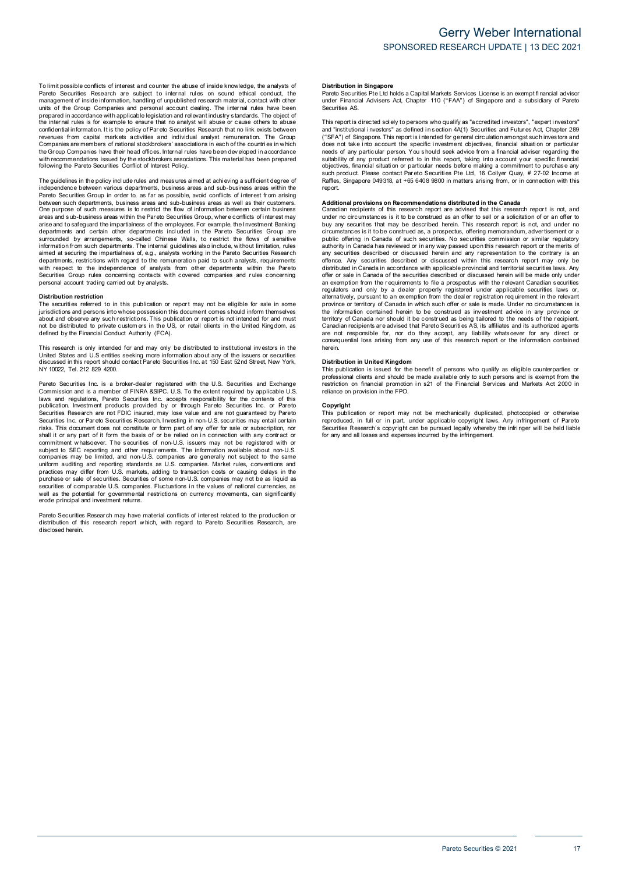To limit possible conflicts of interest and counter the abuse of inside knowledge, the analysts of<br>Pareto Securities Research are subject to internal rules on sound ethical conduct, the management of inside information, handling of unpublished research material, contact with other<br>units of the Group Companies and personal account dealing. The internal rules have been prepared in accordance with applicable legislation and relevant industry standards. The object of<br>the internal rules is for example to ensure that no a nalyst will abuse or cause others to abuse confidential information. It is the policy of Pareto Securities Research that no link exists between<br>revenues from capital markets activities and individual analyst remuneration. The Group Companies are members of national stockbrokers' associations in each of the countries in which the Gr oup Companies have their head offices. Internal rules have been developed i n accordance with recommendations issued by the stockbrokers associations. This material has been prepared<br>following the Pareto Securities Conflict of Interest Policy.

The guidelines in the policy include rules and meas ures aimed at achi eving a sufficient degree of independence between various departments, business areas and sub-business areas within the Pareto Securities Group in order to, as far as possible, avoid conflicts of interest from arising between such departments, business areas and sub-business areas as well as their customers.<br>One purpose of such measures is to restrict the flow of information between certain business areas and s ub-business areas within the Par eto Securities Group, wher e conflicts of i nter est may arise and to safeguard the impartialness of the employees. For example, the Investment Banking<br>departments and certain other departments included in the Par eto Securities Group are surrounded by arrangements, so-called Chinese Walls, to restrict the flows of sensitive information from such departments. The internal guidelines also include, without limitation, rules<br>aimed at securing the impartialness of, e.g., analysts working in the Pareto Securities Research departments, restrictions with regard to the remuneration paid to such analysts, requirements with respect to the independence of analysts from other departments within the Pareto Securities Group rules concerni ng contacts with covered companies and r ules concerning personal account trading carried out by analysts.

#### **Distribution restriction**

The securities referred to in this publication or report may not be eligible for sale in some jurisdictions and persons into whose possession this document comes s hould inform themselves about and observe any such restrictions. This publication or report is not intended for and must<br>not be distributed to private customers in the US, or retail clients in the United Kingdom, as defined by the Financial Conduct Authority (FCA).

This research is only intended for and may only be distributed to institutional investors in the United States and U.S entities seeking more information about any of the issuers or securities<br>discussed in this report should contact Pareto Securities Inc. at 150 East 52nd Street, New York, N Y 10022, Tel. 212 829 4200.

Pareto Securities Inc. is a broker-dealer registered with the U.S. Securities and Exchange<br>Commission and is a member of FINRA &SIPC. U.S. To the extent required by applicable U.S. laws and regulations, Pareto Securities Inc. accepts responsibility for the contents of this<br>publication. Investment products provided by or through Pareto Securities Inc. or Pareto<br>Securities Research are not FDIC insured Securities Inc. or Par eto Securities Research. Investing in non-U.S. securities may entail certain risks. This document does not constitute or form part o f any offer for sale or subscription, nor shall it or any part of it form the basis of or be relied on in connection with any contract or<br>commitment whatsoever. The securities of non-U.S. issuers may not be registered with or subject to SEC reporting and other requirements. The information available about non-U.S.<br>companies may be limited, and non-U.S. companies are generally not subject to the same uniform auditing and reporting standards as U.S. companies. Market rules, conventions and<br>practices may differ from U.S. markets, adding to transaction costs or causing delays in the purchase or sale of securities. Securities of some non-U.S. companies may not be as liquid as<br>securities of comparable U.S. companies. Fluctuations in the values of national currencies, as well as the potential for governmental restrictions on currency movements, can significantly erode principal and investment returns.

Pareto Securities Resear ch may have material conflicts of i nter est related to the production or distribution of this research report w hich, with regard to Pareto Securiti es Research, are disclosed herein.

#### **Distribution in Singapore**

Pareto Securities Pte Ltd holds a Capital Markets Services License is an exempt financial advisor under Financial Advisers Act, Chapter 110 ("FAA") of Singapore and <sup>a</sup> subsidiary of Pareto Securities AS.

This report is directed sol ely to persons who qualify as "accredited investors", "expert investors" and "institutional investors" as defined in section 4A(1) Securities and Futures Act, Chapter 289 ("SFA") of Singapore. This report is intended for general circulation amongst such investors and does not take i nto account the specific i nvestment objectives, financial situati on or particular needs of any particular person. You s hould seek advice from a financial adviser regarding the suitability of any product referred to in this report, taking into account your specific financial<br>objectives, financial situation or particular needs before making a commitment to purchase any such product. Please contact Par eto Securities Pte Ltd, 16 Collyer Quay, # 27-02 Income at Raffles, Singapore 049318, a t +65 6408 9800 i n matters arising from, or i n connection with this report.

**Additional provisions on Recommendations distributed in the Canada<br>Canadian recipients of this research report are advised that this research report is not, and** under no circumstances is it to be construed as an offer to sell or a solicitation of or an offer to buy any securities that may be described herein. This research report is not, and under no<br>circumstances is it to be construed as, a prospectus, offering memorandum, advertisement or a public offering in Canada of such securities. No securities commission or similar regulatory authority in Canada has reviewed or in any way passed upon this research report or the merits of<br>any securities described or discussed herein and any representation to the contrary is an offence. Any securities described or discussed within this research report may only be distributed in Canada in accordance with applicable provincial and territorial securities laws. Any offer or sale in Canada of the securities described or discussed herein will be made only under an exemption from the r equirements to file a prospectus with the r elevant Canadian s ecurities regulators and only by a dealer properly registered under applicable securities laws or,<br>alternatively, pursuant to an exemption from the dealer registration requirement in the relevant province or territory of Canada in which such offer or sale is made. Under no circumstances is the information contained herein to be construed as investment advice in any province or territory of Canada nor should it be construed as being tailored to the needs of the recipient.<br>Canadian recipients are advised that Pareto Securities AS, its affiliates and its authorized agents are not responsible for, nor do they accept, any liability whatsoever for any direct or<br>consequential loss arising from any use of this research report or the information contained herein.

**Distribution in United Kingdom**<br>This publication is issued for the benefit of persons who qualify as eligible counterparties or professional clients and should be made available only to such persons and is exempt from the<br>restriction on financial promotion in s21 of the Financial Services and Markets Act 2000 in reliance on provision in the FPO.

#### **Copyright**

Upping...<br>This publication or report may not be mechanically duplicated, photocopied or otherwise reproduced, in full or in part, under applicable copyright laws. Any infringement of Pareto<br>Securities Research´s copyright can be pursued legally whereby the infringer will be held liable for any and all losses and expenses incurred b y the infringement.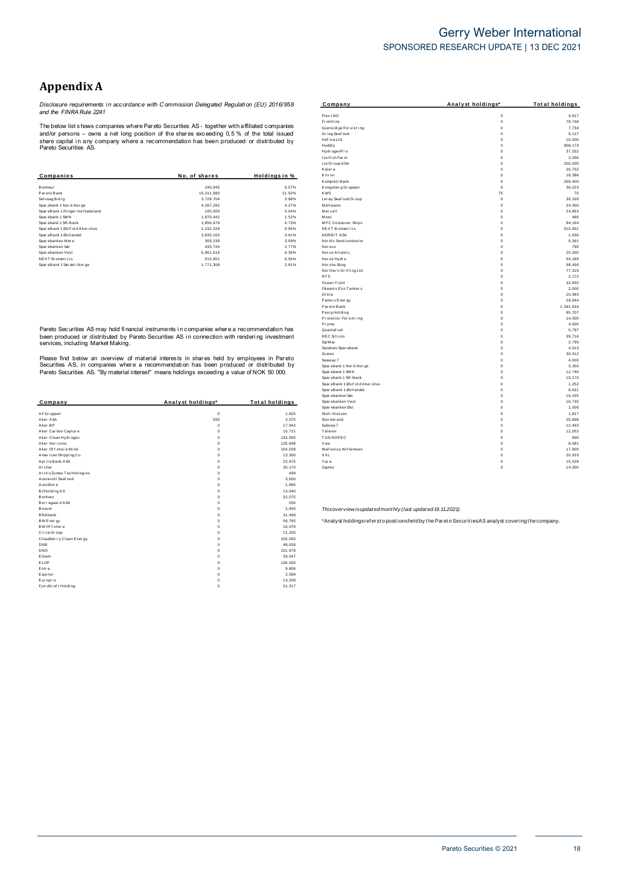## Gerry Weber International SPONSORED RESEARCH UPDATE | 13 DEC 2021

# **AppendixA**

*Disclosure requirements i n accordance with C ommission Delegated Regulati on (EU) 2016/958 and the FINRA Rule 2241*

The below list s hows companies where Pareto Securities AS - together with affiliated companies and/or persons – owns <sup>a</sup> net long position of the shar es exceeding 0,5 % of the total issued share capital i n any company where <sup>a</sup> recommendation has been produced or distributed b y Pareto Securities AS.

|                                 |               |               | Kalera                 | 0           |
|---------------------------------|---------------|---------------|------------------------|-------------|
| Companies                       | No. of shares | Holdings in % | Kitron                 |             |
|                                 |               |               | Komplett Bank          | $\mathbf 0$ |
| Bonheur                         | 240,945       | 0.57%         | Kongsberg Gruppen      | $^{\circ}$  |
| Pareto Bank                     | 15,311,980    | 21.92%        | <b>KWS</b>             | 75          |
| Selvaag Bolig                   | 3.729.704     | 3.98%         | Ler øy Seaf ood Gr oup | $\mathbf 0$ |
| Sparebank 1 Nor d-Nor ge        | 4.287.282     | 4.27%         | Meltwater              | $^{\circ}$  |
| SpareBank 1 Ringer ike Hadeland | 100,000       | 0.64%         | Mercell                | $\mathbf 0$ |
| Sparebank 1 SMN                 | 1,970,442     | 1.52%         | Mowi                   | $^{\circ}$  |
| Sparebank 1 SR-Bank             | 1,856,679     | 0.73%         | MPC Container Ships    | $^{\circ}$  |
| SpareBank 1 Østf old Akershus   | 1,232,229     | 9.95%         | NEXT Biometrics        | $^{\circ}$  |
| SpareBank 1 Østlandet           | 3,833,163     | 3.61%         | NORBIT ASA             | $\Omega$    |
| Sparebanken Møre                | 305,239       | 3.09%         | Nor dic Semiconductor  | $\mathbf 0$ |
| Spar ebanken Sør                | 433.744       | 2.77%         | Noreco                 | $\mathbf 0$ |
| Spar ebanken Vest               | 6,861,616     | 6.39%         | Norse Atlantic         | $\Omega$    |
| NEXT Biometrics                 | 510,901       | 0.56%         | Norsk Hydro            | $\mathbf 0$ |
| SpareBank 1 Sørøst-Norge        | 1,771,308     | 2.81%         | Norske Skog            | $\mathbf 0$ |

Pareto Securities AS may hold fi nancial instruments i n companies wher e <sup>a</sup> recommendation has been produced or distributed by Pareto Securities AS in connection with rendering investment<br>services, including Market Making.

Please find below an overview of material interests in shares held by employees in Pareto<br>Securities AS, in companies where a recommendation has been produced or distributed by<br>Pareto Securities AS. "By material interest"

|                          |                   |                | upai epalineli Joi                                        | v                                                                                                 | 10, 40 |
|--------------------------|-------------------|----------------|-----------------------------------------------------------|---------------------------------------------------------------------------------------------------|--------|
| Company                  | Analyst holdings* | Total holdings | Spar ebanken Vest                                         | $\Omega$                                                                                          | 16,735 |
|                          |                   |                | Spar ebanken Øst                                          | $\Omega$                                                                                          | 1,500  |
| AF Gr uppen              | $\Omega$          | 1,825          | Stolt-Nielsen                                             |                                                                                                   | 1,817  |
| Aker ASA                 | 500               | 3,075          | Stor ebr and                                              | $\Omega$                                                                                          | 25,698 |
| Aker BP                  | O                 | 17,942         | Subsea 7                                                  | $\Omega$                                                                                          | 12,493 |
| Aker Carbon Capture      |                   | 10,721         | Telenor                                                   | $\Omega$                                                                                          | 12,052 |
| Aker Clean Hydrogen      |                   | 133,500        | TGS-NOPEC                                                 | $\Omega$                                                                                          | 600    |
| Aker Horizons            |                   | 125,848        | Vow                                                       | $\Omega$                                                                                          | 8,68   |
| Aker Of f shore Wind     |                   | 164,028        | Wallenius Wilhemsen                                       | $\Omega$                                                                                          | 17,800 |
| American Shipping Co.    |                   | 13,300         | XXL                                                       | $\Omega$                                                                                          | 20,923 |
| Aprila Bank ASA          |                   | 22,675         | Yara                                                      | $\circ$                                                                                           | 15,428 |
| Archer                   |                   | 30,170         | Zaptec                                                    | $\mathbf 0$                                                                                       | 14,000 |
| ArcticZymes Technologies |                   | 684            |                                                           |                                                                                                   |        |
| Austevoll Seaf ood       |                   | 3,600          |                                                           |                                                                                                   |        |
| AutoStore                |                   | 1,685          |                                                           |                                                                                                   |        |
| B2Holding AS             |                   | 13,940         |                                                           |                                                                                                   |        |
| Bonheur                  |                   | 32,075         |                                                           |                                                                                                   |        |
| Bor regaar d ASA         |                   | 650            |                                                           |                                                                                                   |        |
| Bouvet                   |                   | 2,940          | Thisoverview isupdated monthly (last updated 19.11.2021). |                                                                                                   |        |
| <b>BRAbank</b>           |                   | 31,499         |                                                           |                                                                                                   |        |
| BW Energy                |                   | 56,765         |                                                           | *Analyst holdingsrefersto positionsheld by the Pareto Securities AS analyst covering the company. |        |
| BW Of f shore            |                   | 16,076         |                                                           |                                                                                                   |        |
| Circa Group              |                   | 11,250         |                                                           |                                                                                                   |        |
| Cloudber ry Clean Energy |                   | 100,000        |                                                           |                                                                                                   |        |
| DNB                      |                   | 48,639         |                                                           |                                                                                                   |        |
| DNO                      |                   | 151,978        |                                                           |                                                                                                   |        |
| Elkem                    |                   | 39.047         |                                                           |                                                                                                   |        |
| ELOP                     |                   | 130,000        |                                                           |                                                                                                   |        |
| Entra                    |                   | 9,806          |                                                           |                                                                                                   |        |
| Equinor                  |                   | 2,589          |                                                           |                                                                                                   |        |
| Europris                 |                   | 13,208         |                                                           |                                                                                                   |        |
| Fj or dkr af t Holding   |                   | 21,317         |                                                           |                                                                                                   |        |
|                          |                   |                |                                                           |                                                                                                   |        |

| Company                                                 | Analyst holdings*          | <b>Total holdings</b> |
|---------------------------------------------------------|----------------------------|-----------------------|
| Flex LNG                                                | $\mathbf 0$                | 4.817                 |
| Fr ontline                                              | $\mathbf 0$                | 79,748                |
| Gjensidige For sikring                                  | $\mathbf 0$                | 7,734                 |
| Grieg Seaf ood                                          | $\mathbf 0$                | 9,127                 |
| Haf nia Ltd.                                            | $\mathbf 0$                | 10.000                |
| Huddly                                                  | 0                          | 908, 173              |
| Hydr ogenPr o                                           | $\mathbf 0$                | 37,552                |
| Ice Fish Farm                                           | $\mathbf 0$                | 2,000                 |
| ice Group ASA<br>Kalera                                 | $\mathbf 0$<br>$\mathbf 0$ | 200,000<br>26,752     |
| Kitr on                                                 | $\mathbf 0$                | 18,386                |
| Komplett Bank                                           | $\mathbf 0$                | 209,400               |
| Kongsberg Gruppen                                       | $\mathbf 0$                | 36.023                |
| <b>KWS</b>                                              | 75                         | 75                    |
| Ler øy Seaf ood Gr oup                                  | $\mathbf 0$                | 39.328                |
| Meltwater                                               | $\mathbf 0$                | 24.000                |
| Mercell                                                 | $\mathbf 0$                | 24,863                |
| Mowi                                                    | $\mathbf 0$                | 486                   |
| <b>MPC Container Ships</b>                              | $\mathbf 0$                | 84.164                |
| NEXT Biometrics<br>NORBIT ASA                           | $\mathbf 0$<br>$\mathbf 0$ | 510.901               |
|                                                         |                            | 1,656                 |
| Nor dic Semi conductor<br>Nor eco                       | 0<br>$\mathbf 0$           | 5,391<br>790          |
| Nor se Atlantic                                         | $\mathbf 0$                | 25.000                |
| Norsk Hydro                                             | $\mathbf 0$                | 94,189                |
| Norske Skog                                             | $\mathbf 0$                | 98,499                |
| Northern Drilling Ltd.                                  | $\mathbf 0$                | 77,319                |
| NT <sub>S</sub>                                         | $\mathbf 0$                | 2,172                 |
| Ocean Yield                                             | $\mathbf 0$                | 32.650                |
| Okeanis Eco Tankers                                     | $\mathbf 0$                | 2,000                 |
| Orkla                                                   | $\mathbf 0$                | 20.983                |
| Panor o Ener gy                                         | $\mathbf 0$                | 29.844                |
| Par eto Bank                                            | $\mathbf 0$<br>$\mathbf 0$ | 1,341,634<br>85,707   |
| Pexip Holding<br>Protector Forsikring                   | $\mathbf 0$                | 14,000                |
| Pryme                                                   | $\mathbf 0$                | 4,000                 |
| Quantaf uel                                             | $\mathbf 0$                | 5,797                 |
| <b>REC Silicon</b>                                      | $\mathbf 0$                | 39,716                |
| Sal M ar                                                | $\mathbf 0$                | 2.799                 |
| Sandnes Sparebank                                       | 0                          | 4,013                 |
| Scatec                                                  | $\mathbf 0$                | 30,412                |
| Seaway 7                                                | $\mathbf 0$                | 4.000                 |
| Spar ebank 1 Nor d-Nor ge                               | $\mathbf 0$                | 3,350                 |
| Spar ebank 1 SMN                                        | $\mathbf 0$                | 12,740                |
| Spar ebank 1 SR-Bank                                    | $\mathbf 0$<br>$\mathbf 0$ | 15,170<br>1,252       |
| SpareBank 1 Østf old Aker shus<br>SpareBank 1 Østlandet | $\mathbf 0$                | 9.621                 |
| Spar ebanken Sør                                        | $\mathbf 0$                | 16,435                |
| Spar ebanken Vest                                       | $\mathbf 0$                | 16,735                |
| Spar ebanken Øst                                        | $\mathbf 0$                | 1.500                 |
| Stolt-Nielsen                                           | $\mathbf 0$                | 1,817                 |
| Stor ebr and                                            | $\mathbf 0$                | 25,698                |
| Subsea 7                                                | $\mathbf 0$                | 12,493                |
| Telenor                                                 | $\mathbf 0$                | 12.052                |
| TGS-NOPEC                                               | $\mathbf 0$                | 600                   |
| Vow                                                     | $\mathbf 0$                | 8,681                 |
| Wallenius Wilhemsen                                     | $\mathbf 0$                | 17,800                |
| <b>XXL</b>                                              | $\mathbf 0$<br>$\mathbf 0$ | 20,923<br>15,428      |
| Yara<br>Zaptec                                          | $\mathbf 0$                | 14,000                |
|                                                         |                            |                       |